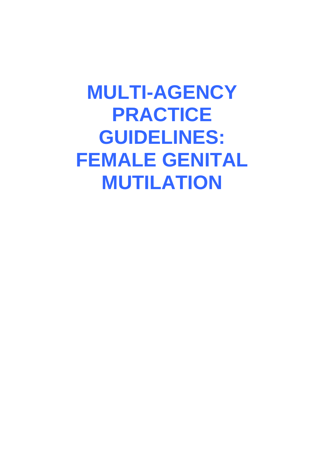**MULTI-AGENCY PRACTICE GUIDELINES: FEMALE GENITAL MUTILATION**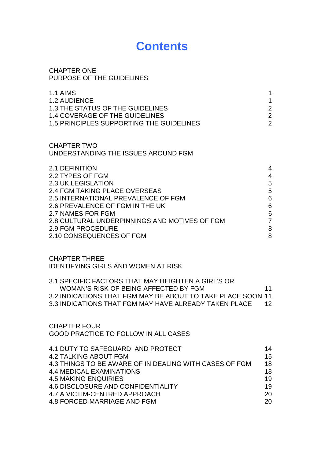# **Contents**

| 1.1 AIMS                                        |                |
|-------------------------------------------------|----------------|
| <b>1.2 AUDIENCE</b>                             |                |
| 1.3 THE STATUS OF THE GUIDELINES                | $\overline{2}$ |
| <b>1.4 COVERAGE OF THE GUIDELINES</b>           | $\overline{2}$ |
| <b>1.5 PRINCIPLES SUPPORTING THE GUIDELINES</b> | $\overline{2}$ |
|                                                 |                |
| CHAPTER TWO                                     |                |
| UNDERSTANDING THE ISSUES AROUND FGM             |                |
| 2.1 DEFINITION                                  | 4              |
| 2.2 TYPES OF FGM                                | 4              |
| <b>2.3 UK LEGISLATION</b>                       | 5              |
| 2.4 FGM TAKING PLACE OVERSEAS                   | 5              |
| 2.5 INTERNATIONAL PREVALENCE OF FGM             | 6              |
| 2.6 PREVALENCE OF FGM IN THE UK                 | 6              |
| 2.7 NAMES FOR FGM                               | 6              |
| 2.8 CULTURAL UNDERPINNINGS AND MOTIVES OF FGM   | $\overline{7}$ |
| <b>2.9 FGM PROCEDURE</b>                        | 8              |
| 2.10 CONSEQUENCES OF FGM                        | 8              |
|                                                 |                |
|                                                 |                |

CHAPTER THREE IDENTIFYING GIRLS AND WOMEN AT RISK

CHAPTER ONE

PURPOSE OF THE GUIDELINES

| 3.1 SPECIFIC FACTORS THAT MAY HEIGHTEN A GIRL'S OR<br>WOMAN'S RISK OF BEING AFFECTED BY FGM<br>3.2 INDICATIONS THAT FGM MAY BE ABOUT TO TAKE PLACE SOON 11<br>3.3 INDICATIONS THAT FGM MAY HAVE ALREADY TAKEN PLACE          | 11<br>$12 \,$                    |
|------------------------------------------------------------------------------------------------------------------------------------------------------------------------------------------------------------------------------|----------------------------------|
| <b>CHAPTER FOUR</b><br><b>GOOD PRACTICE TO FOLLOW IN ALL CASES</b>                                                                                                                                                           |                                  |
| 4.1 DUTY TO SAFEGUARD AND PROTECT<br><b>4.2 TALKING ABOUT FGM</b><br>4.3 THINGS TO BE AWARE OF IN DEALING WITH CASES OF FGM<br>4.4 MEDICAL EXAMINATIONS<br><b>4.5 MAKING ENQUIRIES</b><br>4.6 DISCLOSURE AND CONFIDENTIALITY | 14<br>15<br>18<br>18<br>19<br>19 |

4.7 A VICTIM-CENTRED APPROACH 20 4.8 FORCED MARRIAGE AND FGM 20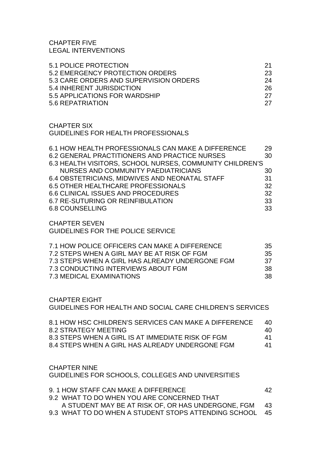CHAPTER FIVE LEGAL INTERVENTIONS

| 5.1 POLICE PROTECTION                  | -21 |
|----------------------------------------|-----|
| 5.2 EMERGENCY PROTECTION ORDERS        | 23  |
| 5.3 CARE ORDERS AND SUPERVISION ORDERS | 24  |
| 5.4 INHERENT JURISDICTION              | 26  |
| 5.5 APPLICATIONS FOR WARDSHIP          | -27 |
| 5.6 REPATRIATION                       | 27  |

CHAPTER SIX GUIDELINES FOR HEALTH PROFESSIONALS

| 6.1 HOW HEALTH PROFESSIONALS CAN MAKE A DIFFERENCE       | 29 |
|----------------------------------------------------------|----|
| 6.2 GENERAL PRACTITIONERS AND PRACTICE NURSES            | 30 |
| 6.3 HEALTH VISITORS, SCHOOL NURSES, COMMUNITY CHILDREN'S |    |
| NURSES AND COMMUNITY PAEDIATRICIANS                      | 30 |
| 6.4 OBSTETRICIANS, MIDWIVES AND NEONATAL STAFF           | 31 |
| <b>6.5 OTHER HEALTHCARE PROFESSIONALS</b>                | 32 |
| <b>6.6 CLINICAL ISSUES AND PROCEDURES</b>                | 32 |
| 6.7 RE-SUTURING OR REINFIBULATION                        | 33 |
| <b>6.8 COUNSELLING</b>                                   | 33 |

CHAPTER SEVEN GUIDELINES FOR THE POLICE SERVICE

| 7.1 HOW POLICE OFFICERS CAN MAKE A DIFFERENCE   | -35 |
|-------------------------------------------------|-----|
| 7.2 STEPS WHEN A GIRL MAY BE AT RISK OF FGM     | -35 |
| 7.3 STEPS WHEN A GIRL HAS ALREADY UNDERGONE FGM | -37 |
| 7.3 CONDUCTING INTERVIEWS ABOUT FGM             | -38 |
| 7.3 MEDICAL EXAMINATIONS                        | -38 |

CHAPTER EIGHT GUIDELINES FOR HEALTH AND SOCIAL CARE CHILDREN'S SERVICES

| 8.1 HOW HSC CHILDREN'S SERVICES CAN MAKE A DIFFERENCE | 40 |
|-------------------------------------------------------|----|
| 8.2 STRATEGY MEETING                                  | 40 |
| 8.3 STEPS WHEN A GIRL IS AT IMMEDIATE RISK OF FGM     | 41 |
| 8.4 STEPS WHEN A GIRL HAS ALREADY UNDERGONE FGM       | 41 |

CHAPTER NINE GUIDELINES FOR SCHOOLS, COLLEGES AND UNIVERSITIES

| 9. 1 HOW STAFF CAN MAKE A DIFFERENCE                    | 42 |  |
|---------------------------------------------------------|----|--|
| 9.2 WHAT TO DO WHEN YOU ARE CONCERNED THAT              |    |  |
| A STUDENT MAY BE AT RISK OF, OR HAS UNDERGONE, FGM 43   |    |  |
| 9.3 WHAT TO DO WHEN A STUDENT STOPS ATTENDING SCHOOL 45 |    |  |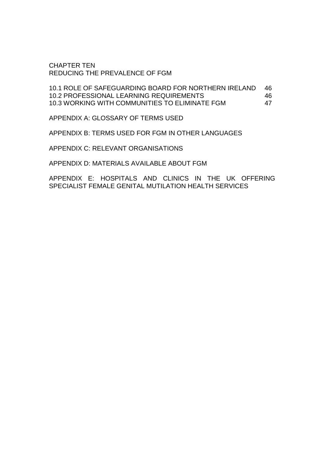CHAPTER TEN REDUCING THE PREVALENCE OF FGM

10.1 ROLE OF SAFEGUARDING BOARD FOR NORTHERN IRELAND 46 10.2 PROFESSIONAL LEARNING REQUIREMENTS 46 10.3 WORKING WITH COMMUNITIES TO ELIMINATE FGM 47

APPENDIX A: GLOSSARY OF TERMS USED

APPENDIX B: TERMS USED FOR FGM IN OTHER LANGUAGES

APPENDIX C: RELEVANT ORGANISATIONS

APPENDIX D: MATERIALS AVAILABLE ABOUT FGM

APPENDIX E: HOSPITALS AND CLINICS IN THE UK OFFERING SPECIALIST FEMALE GENITAL MUTILATION HEALTH SERVICES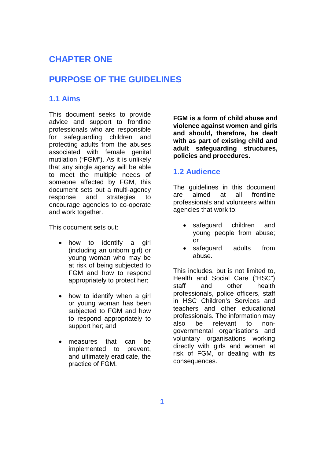## **CHAPTER ONE**

## **PURPOSE OF THE GUIDELINES**

### **1.1 Aims**

This document seeks to provide advice and support to frontline professionals who are responsible for safeguarding children and protecting adults from the abuses associated with female genital mutilation ("FGM"). As it is unlikely that any single agency will be able to meet the multiple needs of someone affected by FGM, this document sets out a multi-agency response and strategies to encourage agencies to co-operate and work together.

This document sets out:

- how to identify a girl (including an unborn girl) or young woman who may be at risk of being subjected to FGM and how to respond appropriately to protect her;
- how to identify when a girl or young woman has been subjected to FGM and how to respond appropriately to support her; and
- measures that can be implemented to prevent, and ultimately eradicate, the practice of FGM.

**FGM is a form of child abuse and violence against women and girls and should, therefore, be dealt with as part of existing child and adult safeguarding structures, policies and procedures.**

### **1.2 Audience**

The guidelines in this document are aimed at all frontline professionals and volunteers within agencies that work to:

- safeguard children and young people from abuse; or
- safeguard adults from abuse.

This includes, but is not limited to, Health and Social Care ("HSC") staff and other health professionals, police officers, staff in HSC Children's Services and teachers and other educational professionals. The information may also be relevant to nongovernmental organisations and voluntary organisations working directly with girls and women at risk of FGM, or dealing with its consequences.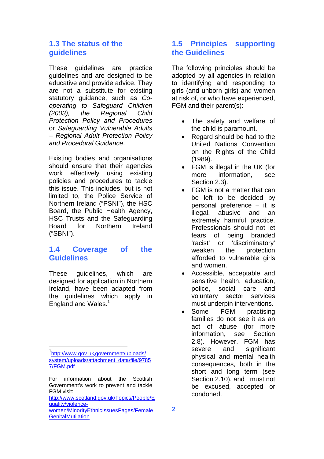### **1.3 The status of the guidelines**

These guidelines are practice guidelines and are designed to be educative and provide advice. They are not a substitute for existing statutory guidance, such as *Cooperating to Safeguard Children (2003), the Regional Child Protection Policy and Procedures* or *Safeguarding Vulnerable Adults – Regional Adult Protection Policy and Procedural Guidance*.

Existing bodies and organisations should ensure that their agencies work effectively using existing policies and procedures to tackle this issue. This includes, but is not limited to, the Police Service of Northern Ireland ("PSNI"), the HSC Board, the Public Health Agency, HSC Trusts and the Safeguarding Board for Northern Ireland ("SBNI").

### **1.4 Coverage of the Guidelines**

These guidelines, which are designed for application in Northern Ireland, have been adapted from the guidelines which apply in England and Wales.<sup>[1](#page-5-0)</sup>

## **1.5 Principles supporting the Guidelines**

The following principles should be adopted by all agencies in relation to identifying and responding to girls (and unborn girls) and women at risk of, or who have experienced, FGM and their parent(s):

- The safety and welfare of the child is paramount.
- Regard should be had to the United Nations Convention on the Rights of the Child (1989).
- FGM is illegal in the UK (for more information, see Section 2.3).
- FGM is not a matter that can be left to be decided by personal preference – it is illegal, abusive and an extremely harmful practice. Professionals should not let fears of being branded 'racist' or 'discriminatory' weaken the protection afforded to vulnerable girls and women.
- Accessible, acceptable and sensitive health, education, police, social care and voluntary sector services must underpin interventions.
- Some FGM practising families do not see it as an act of abuse (for more information, see Section 2.8). However, FGM has severe and significant physical and mental health consequences, both in the short and long term (see Section 2.10), and must not be excused, accepted or condoned.

<span id="page-5-0"></span><sup>&</sup>lt;sup>1</sup>http://www.gov.uk<sub>/</sub>government/uploads/ system/uploads/attachment\_data/file/9785 7/FGM.pdf

For information about the Scottish Government's work to prevent and tackle FGM visit:

http://www.scotland.gov.uk/Topics/People/E quality/violence-

women/MinorityEthnicIssuesPages/Female **GenitalMutilation**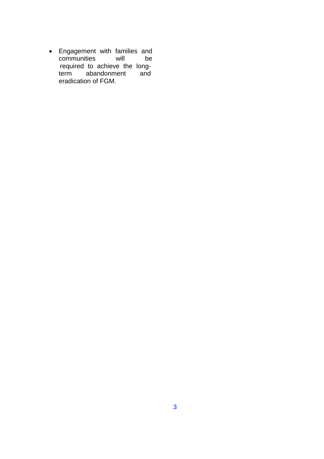Engagement with families and communities will be required to achieve the long-<br>term abandonment and abandonment and eradication of FGM.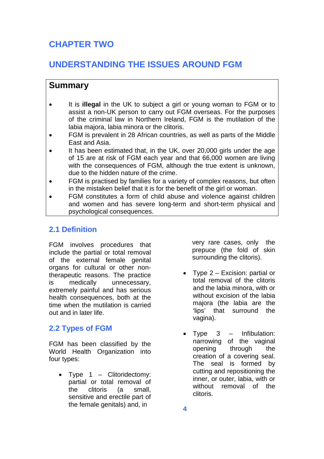# **CHAPTER TWO**

# **UNDERSTANDING THE ISSUES AROUND FGM**

## **Summary**

- It is **illegal** in the UK to subject a girl or young woman to FGM or to assist a non-UK person to carry out FGM overseas. For the purposes of the criminal law in Northern Ireland, FGM is the mutilation of the labia majora, labia minora or the clitoris.
- FGM is prevalent in 28 African countries, as well as parts of the Middle East and Asia.
- It has been estimated that, in the UK, over 20,000 girls under the age of 15 are at risk of FGM each year and that 66,000 women are living with the consequences of FGM, although the true extent is unknown, due to the hidden nature of the crime.
- FGM is practised by families for a variety of complex reasons, but often in the mistaken belief that it is for the benefit of the girl or woman.
- FGM constitutes a form of child abuse and violence against children and women and has severe long-term and short-term physical and psychological consequences.

## **2.1 Definition**

FGM involves procedures that include the partial or total removal of the external female genital organs for cultural or other nontherapeutic reasons. The practice is medically unnecessary, extremely painful and has serious health consequences, both at the time when the mutilation is carried out and in later life.

## **2.2 Types of FGM**

FGM has been classified by the World Health Organization into four types:

• Type  $1 -$  Clitoridectomy: partial or total removal of the clitoris (a small, sensitive and erectile part of the female genitals) and, in

very rare cases, only the prepuce (the fold of skin surrounding the clitoris).

- Type 2 Excision: partial or total removal of the clitoris and the labia minora, with or without excision of the labia majora (the labia are the 'lips' that surround the vagina).
- Type 3 Infibulation: narrowing of the vaginal opening through the creation of a covering seal. The seal is formed by cutting and repositioning the inner, or outer, labia, with or without removal of the clitoris.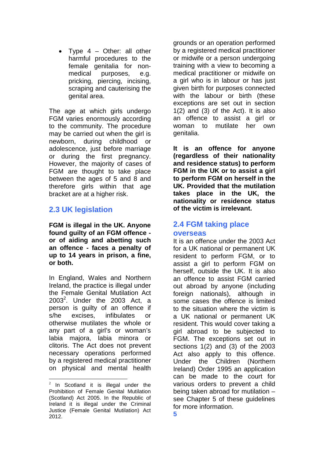Type 4 – Other: all other harmful procedures to the female genitalia for nonmedical purposes, e.g. pricking, piercing, incising, scraping and cauterising the genital area.

The age at which girls undergo FGM varies enormously according to the community. The procedure may be carried out when the girl is newborn, during childhood or adolescence, just before marriage or during the first pregnancy. However, the majority of cases of FGM are thought to take place between the ages of 5 and 8 and therefore girls within that age bracket are at a higher risk.

## **2.3 UK legislation**

**FGM is illegal in the UK. Anyone found guilty of an FGM offence or of aiding and abetting such an offence - faces a penalty of up to 14 years in prison, a fine, or both.**

In England, Wales and Northern Ireland, the practice is illegal under the Female Genital Mutilation Act  $2003^2$ [.](#page-8-0) Under the 2003 Act, a person is guilty of an offence if s/he excises, infibulates or otherwise mutilates the whole or any part of a girl's or woman's labia majora, labia minora or clitoris. The Act does not prevent necessary operations performed by a registered medical practitioner on physical and mental health

grounds or an operation performed by a registered medical practitioner or midwife or a person undergoing training with a view to becoming a medical practitioner or midwife on a girl who is in labour or has just given birth for purposes connected with the labour or birth (these exceptions are set out in section 1(2) and (3) of the Act). It is also an offence to assist a girl or woman to mutilate her own genitalia.

**It is an offence for anyone (regardless of their nationality and residence status) to perform FGM in the UK or to assist a girl to perform FGM on herself in the UK. Provided that the mutilation takes place in the UK, the nationality or residence status of the victim is irrelevant.**

## **2.4 FGM taking place overseas**

It is an offence under the 2003 Act for a UK national or permanent UK resident to perform FGM, or to assist a girl to perform FGM on herself, outside the UK. It is also an offence to assist FGM carried out abroad by anyone (including foreign nationals), although in some cases the offence is limited to the situation where the victim is a UK national or permanent UK resident. This would cover taking a girl abroad to be subjected to FGM. The exceptions set out in sections 1(2) and (3) of the 2003 Act also apply to this offence. Under the Children (Northern Ireland) Order 1995 an application can be made to the court for various orders to prevent a child being taken abroad for mutilation – see Chapter 5 of these guidelines for more information.

<span id="page-8-0"></span> $2$  In Scotland it is illegal under the Prohibition of Female Genital Mutilation (Scotland) Act 2005. In the Republic of Ireland it is illegal under the Criminal Justice (Female Genital Mutilation) Act 2012.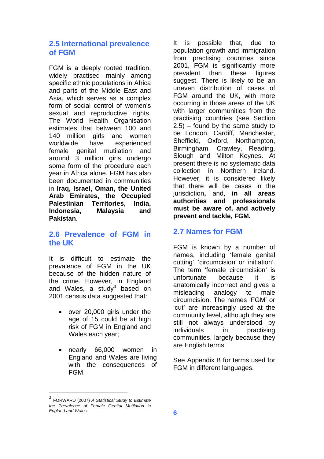### **2.5 International prevalence of FGM**

FGM is a deeply rooted tradition, widely practised mainly among specific ethnic populations in Africa and parts of the Middle East and Asia, which serves as a complex form of social control of women's sexual and reproductive rights. The World Health Organisation estimates that between 100 and 140 million girls and women worldwide have experienced female genital mutilation and around 3 million girls undergo some form of the procedure each year in Africa alone. FGM has also been documented in communities in **Iraq, Israel, Oman, the United Arab Emirates, the Occupied Palestinian Territories, India, Indonesia, Malaysia and Pakistan**.

## **2.6 Prevalence of FGM in the UK**

It is difficult to estimate the prevalence of FGM in the UK because of the hidden nature of the crime. However, in England andWales, a stud[y](#page-9-0)<sup>3</sup> based on 2001 census data suggested that:

- over 20,000 girls under the age of 15 could be at high risk of FGM in England and Wales each year;
- nearly 66,000 women in England and Wales are living with the consequences of FGM.

It is possible that, due to population growth and immigration from practising countries since 2001, FGM is significantly more prevalent than these figures suggest. There is likely to be an uneven distribution of cases of FGM around the UK, with more occurring in those areas of the UK with larger communities from the practising countries (see Section 2.5) – found by the same study to be London, Cardiff, Manchester, Sheffield, Oxford, Northampton, Birmingham, Crawley, Reading, Slough and Milton Keynes. At present there is no systematic data collection in Northern Ireland. However, it is considered likely that there will be cases in the jurisdiction**,** and, **in all areas authorities and professionals must be aware of, and actively prevent and tackle, FGM.**

## **2.7 Names for FGM**

FGM is known by a number of names, including 'female genital cutting', 'circumcision' or 'initiation'. The term 'female circumcision' is unfortunate because it is anatomically incorrect and gives a misleading analogy to male circumcision. The names 'FGM' or 'cut' are increasingly used at the community level, although they are still not always understood by individuals in practising communities, largely because they are English terms.

See Appendix B for terms used for FGM in different languages.

<span id="page-9-0"></span><sup>3</sup> FORWARD (2007) *A Statistical Study to Estimate the Prevalence of Female Genital Mutilation in England and Wales.*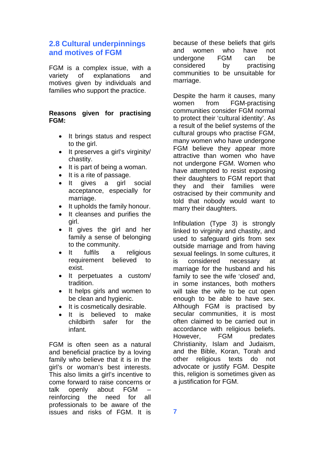## **2.8 Cultural underpinnings and motives of FGM**

FGM is a complex issue, with a variety of explanations and motives given by individuals and families who support the practice.

### **Reasons given for practising FGM:**

- It brings status and respect to the girl.
- It preserves a girl's virginity/ chastity.
- $\bullet$  It is part of being a woman.
- It is a rite of passage.
- It gives a girl social acceptance, especially for marriage.
- It upholds the family honour.
- It cleanses and purifies the girl.
- It gives the girl and her family a sense of belonging to the community.
- It fulfils a religious requirement believed to exist.
- It perpetuates a custom/ tradition.
- It helps girls and women to be clean and hygienic.
- It is cosmetically desirable.
- It is believed to make childbirth safer for the infant.

FGM is often seen as a natural and beneficial practice by a loving family who believe that it is in the girl's or woman's best interests. This also limits a girl's incentive to come forward to raise concerns or talk openly about FGM – reinforcing the need for all professionals to be aware of the issues and risks of FGM. It is

because of these beliefs that girls and women who have not undergone FGM can be considered by practising communities to be unsuitable for marriage.

Despite the harm it causes, many women from FGM-practising communities consider FGM normal to protect their 'cultural identity'. As a result of the belief systems of the cultural groups who practise FGM, many women who have undergone FGM believe they appear more attractive than women who have not undergone FGM. Women who have attempted to resist exposing their daughters to FGM report that they and their families were ostracised by their community and told that nobody would want to marry their daughters.

Infibulation (Type 3) is strongly linked to virginity and chastity, and used to safeguard girls from sex outside marriage and from having sexual feelings. In some cultures, it is considered necessary at marriage for the husband and his family to see the wife 'closed' and, in some instances, both mothers will take the wife to be cut open enough to be able to have sex. Although FGM is practised by secular communities, it is most often claimed to be carried out in accordance with religious beliefs. However, FGM predates Christianity, Islam and Judaism, and the Bible, Koran, Torah and other religious texts do not advocate or justify FGM. Despite this, religion is sometimes given as a justification for FGM.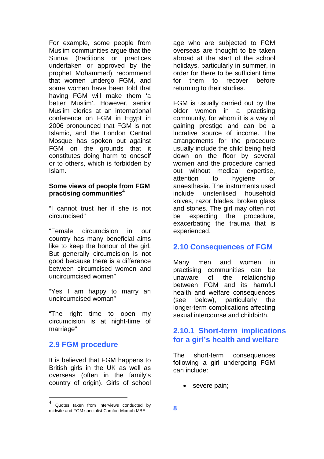For example, some people from Muslim communities argue that the Sunna (traditions or practices undertaken or approved by the prophet Mohammed) recommend that women undergo FGM, and some women have been told that having FGM will make them 'a better Muslim'. However, senior Muslim clerics at an international conference on FGM in Egypt in 2006 pronounced that FGM is not Islamic, and the London Central Mosque has spoken out against FGM on the grounds that it constitutes doing harm to oneself or to others, which is forbidden by Islam.

### **Some views of people from FGM practising communities[4](#page-11-0)**

"I cannot trust her if she is not circumcised"

"Female circumcision in our country has many beneficial aims like to keep the honour of the girl. But generally circumcision is not good because there is a difference between circumcised women and uncircumcised women"

"Yes I am happy to marry an uncircumcised woman"

"The right time to open my circumcision is at night-time of marriage"

## **2.9 FGM procedure**

It is believed that FGM happens to British girls in the UK as well as overseas (often in the family's country of origin). Girls of school age who are subjected to FGM overseas are thought to be taken abroad at the start of the school holidays, particularly in summer, in order for there to be sufficient time for them to recover before returning to their studies.

FGM is usually carried out by the older women in a practising community, for whom it is a way of gaining prestige and can be a lucrative source of income. The arrangements for the procedure usually include the child being held down on the floor by several women and the procedure carried out without medical expertise, attention to hygiene or anaesthesia. The instruments used include unsterilised household knives, razor blades, broken glass and stones. The girl may often not be expecting the procedure, exacerbating the trauma that is experienced.

## **2.10 Consequences of FGM**

Many men and women in practising communities can be unaware of the relationship between FGM and its harmful health and welfare consequences (see below), particularly the longer-term complications affecting sexual intercourse and childbirth.

## **2.10.1 Short-term implications for a girl's health and welfare**

The short-term consequences following a girl undergoing FGM can include:

• severe pain;

<span id="page-11-0"></span><sup>4</sup> Quotes taken from interviews conducted by midwife and FGM specialist Comfort Momoh MBE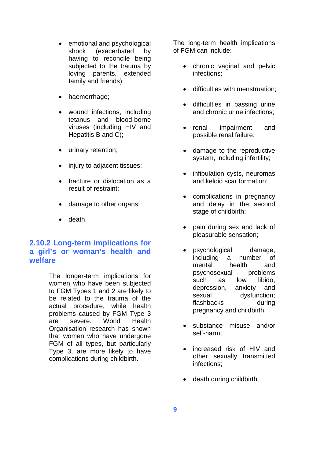- emotional and psychological shock (exacerbated by having to reconcile being subjected to the trauma by loving parents, extended family and friends);
- haemorrhage;
- wound infections, including tetanus and blood-borne viruses (including HIV and Hepatitis B and C);
- urinary retention;
- injury to adjacent tissues;
- fracture or dislocation as a result of restraint;
- damage to other organs;
- death.

### **2.10.2 Long-term implications for a girl's or woman's health and welfare**

The longer-term implications for women who have been subjected to FGM Types 1 and 2 are likely to be related to the trauma of the actual procedure, while health problems caused by FGM Type 3 are severe. World Health Organisation research has shown that women who have undergone FGM of all types, but particularly Type 3, are more likely to have complications during childbirth.

The long-term health implications of FGM can include:

- chronic vaginal and pelvic infections;
- difficulties with menstruation:
- difficulties in passing urine and chronic urine infections;
- renal impairment and possible renal failure;
- damage to the reproductive system, including infertility;
- infibulation cysts, neuromas and keloid scar formation;
- complications in pregnancy and delay in the second stage of childbirth;
- pain during sex and lack of pleasurable sensation;
- psychological damage, including a number of mental health and psychosexual problems such as low libido, depression, anxiety and sexual dysfunction; flashbacks during pregnancy and childbirth;
- substance misuse and/or self-harm;
- increased risk of HIV and other sexually transmitted infections;
- death during childbirth.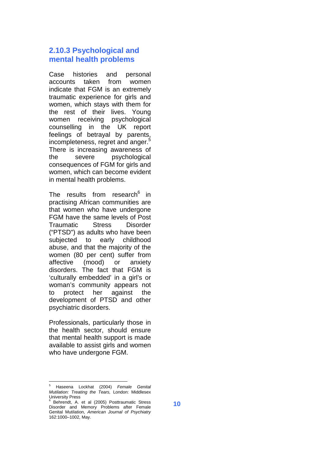### **2.10.3 Psychological and mental health problems**

Case histories and personal accounts taken from women indicate that FGM is an extremely traumatic experience for girls and women, which stays with them for the rest of their lives. Young women receiving psychological counselling in the UK report feelings of betrayal by parents, incompleteness, regret and anger.<sup>[5](#page-13-0)</sup> There is increasing awareness of the severe psychological consequences of FGM for girls and women, which can become evident in mental health problems.

The results from research<sup>[6](#page-13-1)</sup> in practising African communities are that women who have undergone FGM have the same levels of Post Traumatic Stress Disorder ("PTSD") as adults who have been subjected to early childhood abuse, and that the majority of the women (80 per cent) suffer from affective (mood) or anxiety disorders. The fact that FGM is 'culturally embedded' in a girl's or woman's community appears not to protect her against the development of PTSD and other psychiatric disorders.

Professionals, particularly those in the health sector, should ensure that mental health support is made available to assist girls and women who have undergone FGM.

<span id="page-13-0"></span><sup>5</sup> Haseena Lockhat (2004) *Female Genital Mutilation: Treating the Tears,* London: Middlesex University Press

<span id="page-13-1"></span><sup>&</sup>lt;sup>6</sup> Behrendt, A. et al (2005) Posttraumatic Stress Disorder and Memory Problems after Female Genital Mutilation, *American Journal of Psychiatry* 162:1000–1002, May.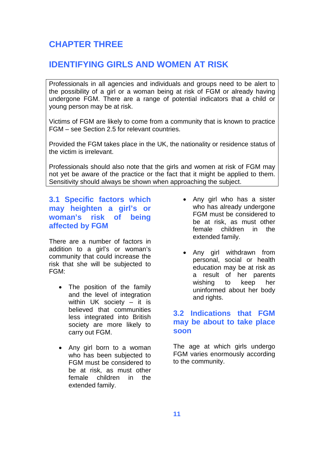## **CHAPTER THREE**

## **IDENTIFYING GIRLS AND WOMEN AT RISK**

Professionals in all agencies and individuals and groups need to be alert to the possibility of a girl or a woman being at risk of FGM or already having undergone FGM. There are a range of potential indicators that a child or young person may be at risk.

Victims of FGM are likely to come from a community that is known to practice FGM – see Section 2.5 for relevant countries.

Provided the FGM takes place in the UK, the nationality or residence status of the victim is irrelevant.

Professionals should also note that the girls and women at risk of FGM may not yet be aware of the practice or the fact that it might be applied to them. Sensitivity should always be shown when approaching the subject.

## **3.1 Specific factors which may heighten a girl's or woman's risk of being affected by FGM**

There are a number of factors in addition to a girl's or woman's community that could increase the risk that she will be subjected to FGM:

- The position of the family and the level of integration within UK society – it is believed that communities less integrated into British society are more likely to carry out FGM.
- Any girl born to a woman who has been subjected to FGM must be considered to be at risk, as must other female children in the extended family.
- Any girl who has a sister who has already undergone FGM must be considered to be at risk, as must other female children in the extended family.
- Any girl withdrawn from personal, social or health education may be at risk as a result of her parents wishing to keep her uninformed about her body and rights.

## **3.2 Indications that FGM may be about to take place soon**

The age at which girls undergo FGM varies enormously according to the community.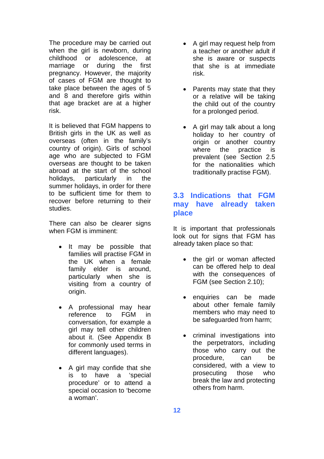The procedure may be carried out when the girl is newborn, during childhood or adolescence, at marriage or during the first pregnancy. However, the majority of cases of FGM are thought to take place between the ages of 5 and 8 and therefore girls within that age bracket are at a higher risk.

It is believed that FGM happens to British girls in the UK as well as overseas (often in the family's country of origin). Girls of school age who are subjected to FGM overseas are thought to be taken abroad at the start of the school holidays, particularly in the summer holidays, in order for there to be sufficient time for them to recover before returning to their studies.

There can also be clearer signs when FGM is imminent:

- It may be possible that families will practise FGM in the UK when a female family elder is around, particularly when she is visiting from a country of origin.
- A professional may hear reference to FGM in conversation, for example a girl may tell other children about it. (See Appendix B for commonly used terms in different languages).
- A girl may confide that she is to have a 'special procedure' or to attend a special occasion to 'become a woman'.
- A girl may request help from a teacher or another adult if she is aware or suspects that she is at immediate risk.
- Parents may state that they or a relative will be taking the child out of the country for a prolonged period.
- A girl may talk about a long holiday to her country of origin or another country where the practice is prevalent (see Section 2.5 for the nationalities which traditionally practise FGM).

## **3.3 Indications that FGM may have already taken place**

It is important that professionals look out for signs that FGM has already taken place so that:

- the girl or woman affected can be offered help to deal with the consequences of FGM (see Section 2.10);
- enquiries can be made about other female family members who may need to be safeguarded from harm;
- criminal investigations into the perpetrators, including those who carry out the procedure, can be considered, with a view to prosecuting those who break the law and protecting others from harm.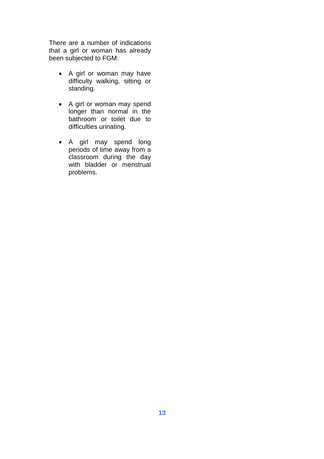There are a number of indications that a girl or woman has already been subjected to FGM:

- A girl or woman may have difficulty walking, sitting or standing.
- A girl or woman may spend longer than normal in the bathroom or toilet due to difficulties urinating.
- A girl may spend long periods of time away from a classroom during the day with bladder or menstrual problems.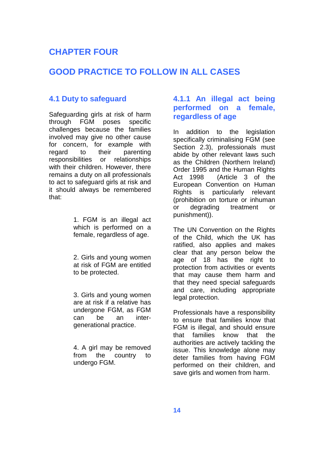## **CHAPTER FOUR**

## **GOOD PRACTICE TO FOLLOW IN ALL CASES**

### **4.1 Duty to safeguard**

Safeguarding girls at risk of harm through FGM poses specific challenges because the families involved may give no other cause for concern, for example with regard to their parenting responsibilities or relationships with their children. However, there remains a duty on all professionals to act to safeguard girls at risk and it should always be remembered that:

> 1. FGM is an illegal act which is performed on a female, regardless of age.

> 2. Girls and young women at risk of FGM are entitled to be protected.

> 3. Girls and young women are at risk if a relative has undergone FGM, as FGM can be an intergenerational practice.

> 4. A girl may be removed from the country to undergo FGM.

### **4.1.1 An illegal act being performed on a female, regardless of age**

In addition to the legislation specifically criminalising FGM (see Section 2.3), professionals must abide by other relevant laws such as the Children (Northern Ireland) Order 1995 and the Human Rights Act 1998 (Article 3 of the European Convention on Human Rights is particularly relevant (prohibition on torture or inhuman or degrading treatment or punishment)).

The UN Convention on the Rights of the Child, which the UK has ratified, also applies and makes clear that any person below the age of 18 has the right to protection from activities or events that may cause them harm and that they need special safeguards and care, including appropriate legal protection.

Professionals have a responsibility to ensure that families know that FGM is illegal, and should ensure that families know that the authorities are actively tackling the issue. This knowledge alone may deter families from having FGM performed on their children, and save girls and women from harm.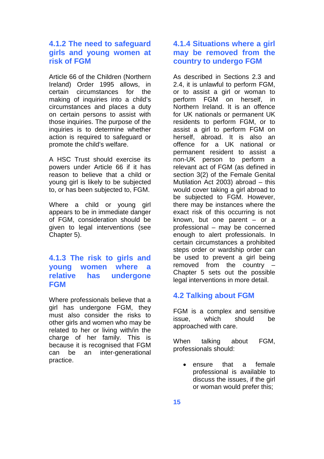### **4.1.2 The need to safeguard girls and young women at risk of FGM**

Article 66 of the Children (Northern Ireland) Order 1995 allows, in certain circumstances for the making of inquiries into a child's circumstances and places a duty on certain persons to assist with those inquiries. The purpose of the inquiries is to determine whether action is required to safeguard or promote the child's welfare.

A HSC Trust should exercise its powers under Article 66 if it has reason to believe that a child or young girl is likely to be subjected to, or has been subjected to, FGM.

Where a child or young girl appears to be in immediate danger of FGM, consideration should be given to legal interventions (see Chapter 5).

### **4.1.3 The risk to girls and young women where a relative has undergone FGM**

Where professionals believe that a girl has undergone FGM, they must also consider the risks to other girls and women who may be related to her or living with/in the charge of her family. This is because it is recognised that FGM can be an inter-generational practice.

## **4.1.4 Situations where a girl may be removed from the country to undergo FGM**

As described in Sections 2.3 and 2.4, it is unlawful to perform FGM, or to assist a girl or woman to perform FGM on herself, in Northern Ireland. It is an offence for UK nationals or permanent UK residents to perform FGM, or to assist a girl to perform FGM on herself, abroad. It is also an offence for a UK national or permanent resident to assist a non-UK person to perform a relevant act of FGM (as defined in section 3(2) of the Female Genital Mutilation Act 2003) abroad – this would cover taking a girl abroad to be subjected to FGM. However, there may be instances where the exact risk of this occurring is not known, but one parent – or a professional – may be concerned enough to alert professionals. In certain circumstances a prohibited steps order or wardship order can be used to prevent a girl being removed from the country – Chapter 5 sets out the possible legal interventions in more detail.

## **4.2 Talking about FGM**

FGM is a complex and sensitive issue, which should be approached with care.

When talking about FGM, professionals should:

 ensure that a female professional is available to discuss the issues, if the girl or woman would prefer this;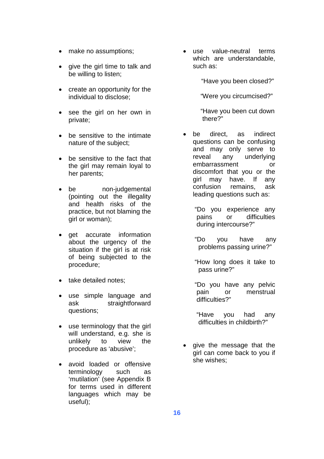- make no assumptions;
- give the girl time to talk and be willing to listen;
- create an opportunity for the individual to disclose;
- see the girl on her own in private;
- be sensitive to the intimate nature of the subject;
- be sensitive to the fact that the girl may remain loyal to her parents;
- be non-judgemental (pointing out the illegality and health risks of the practice, but not blaming the girl or woman);
- get accurate information about the urgency of the situation if the girl is at risk of being subjected to the procedure;
- take detailed notes;
- use simple language and ask straightforward questions;
- use terminology that the girl will understand, e.g. she is unlikely to view the procedure as 'abusive';
- avoid loaded or offensive terminology such as 'mutilation' (see Appendix B for terms used in different languages which may be useful);

 use value-neutral terms which are understandable, such as:

"Have you been closed?"

"Were you circumcised?"

"Have you been cut down there?"

- be direct, as indirect questions can be confusing and may only serve to reveal any underlying embarrassment or discomfort that you or the girl may have. If any confusion remains, ask leading questions such as:
	- "Do you experience any pains or difficulties during intercourse?"
	- "Do you have any problems passing urine?"
	- "How long does it take to pass urine?"
	- "Do you have any pelvic pain or menstrual difficulties?"
	- "Have you had any difficulties in childbirth?"
- give the message that the girl can come back to you if she wishes;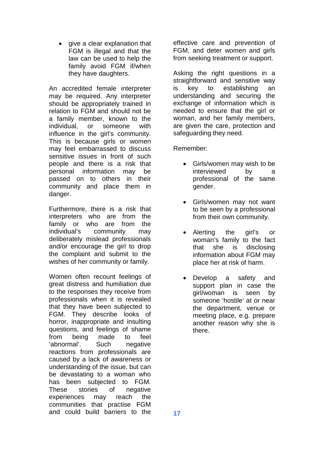• give a clear explanation that FGM is illegal and that the law can be used to help the family avoid FGM if/when they have daughters.

An accredited female interpreter may be required. Any interpreter should be appropriately trained in relation to FGM and should not be a family member, known to the individual, or someone with influence in the girl's community. This is because girls or women may feel embarrassed to discuss sensitive issues in front of such people and there is a risk that personal information may be passed on to others in their community and place them in danger.

Furthermore, there is a risk that interpreters who are from the family or who are from the individual's community may deliberately mislead professionals and/or encourage the girl to drop the complaint and submit to the wishes of her community or family.

Women often recount feelings of great distress and humiliation due to the responses they receive from professionals when it is revealed that they have been subjected to FGM. They describe looks of horror, inappropriate and insulting questions, and feelings of shame from being made to feel 'abnormal'. Such negative reactions from professionals are caused by a lack of awareness or understanding of the issue, but can be devastating to a woman who has been subjected to FGM. These stories of negative experiences may reach the communities that practise FGM and could build barriers to the

effective care and prevention of FGM, and deter women and girls from seeking treatment or support.

Asking the right questions in a straightforward and sensitive way is key to establishing an understanding and securing the exchange of information which is needed to ensure that the girl or woman, and her family members, are given the care, protection and safeguarding they need.

Remember:

- Girls/women may wish to be interviewed by a professional of the same gender.
- Girls/women may not want to be seen by a professional from their own community.
- Alerting the girl's or woman's family to the fact that she is disclosing information about FGM may place her at risk of harm.
- Develop a safety and support plan in case the girl/woman is seen by someone 'hostile' at or near the department, venue or meeting place, e.g. prepare another reason why she is there.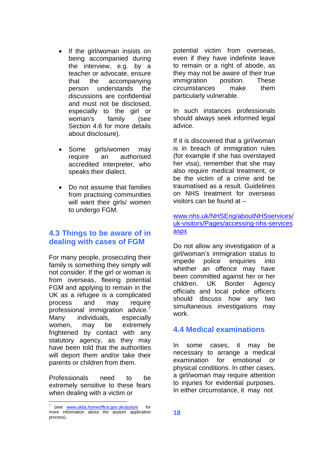- If the girl/woman insists on being accompanied during the interview, e.g. by a teacher or advocate, ensure that the accompanying person understands the discussions are confidential and must not be disclosed, especially to the girl or woman's family (see Section 4.6 for more details about disclosure).
- Some girls/women may require an authorised accredited interpreter, who speaks their dialect.
- Do not assume that families from practising communities will want their girls/ women to undergo FGM.

## **4.3 Things to be aware of in dealing with cases of FGM**

For many people, prosecuting their family is something they simply will not consider. If the girl or woman is from overseas, fleeing potential FGM and applying to remain in the UK as a refugee is a complicated process and may require professional immigration advice. Many individuals, especially women, may be extremely frightened by contact with any statutory agency, as they may have been told that the authorities will deport them and/or take their parents or children from them.

Professionals need to be extremely sensitive to these fears when dealing with a victim or

potential victim from overseas, even if they have indefinite leave to remain or a right of abode, as they may not be aware of their true immigration position. These circumstances make them particularly vulnerable.

In such instances professionals should always seek informed legal advice.

If it is discovered that a girl/woman is in breach of immigration rules (for example if she has overstayed her visa), remember that she may also require medical treatment, or be the victim of a crime and be traumatised as a result. Guidelines on NHS treatment for overseas visitors can be found at –

### [www.nhs.uk/NHSEng/aboutNHSservices/](http://www.nhs.uk/NHSEng/aboutNHSservices/uk-visitors/Pages/accessing-nhs-services aspx) [uk-visitors/Pages/accessing-nhs-services](http://www.nhs.uk/NHSEng/aboutNHSservices/uk-visitors/Pages/accessing-nhs-services aspx) [aspx](http://www.nhs.uk/NHSEng/aboutNHSservices/uk-visitors/Pages/accessing-nhs-services aspx)

Do not allow any investigation of a girl/woman's immigration status to impede police enquiries into whether an offence may have been committed against her or her children. UK Border Agency officials and local police officers should discuss how any two simultaneous investigations may work.

## **4.4 Medical examinations**

In some cases, it may be necessary to arrange a medical examination for emotional or physical conditions. In other cases, a girl/woman may require attention to injuries for evidential purposes. In either circumstance, it may not

<span id="page-21-0"></span><sup>7</sup> (see www.ukba.homeoffice.gov.uk/asylum for more information about the asylum application process).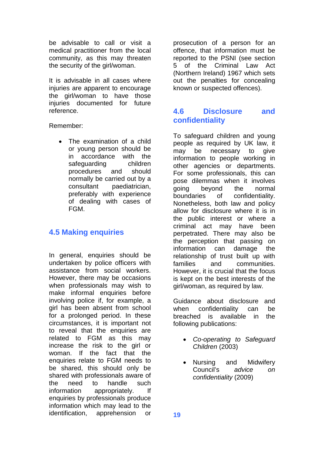be advisable to call or visit a medical practitioner from the local community, as this may threaten the security of the girl/woman.

It is advisable in all cases where injuries are apparent to encourage the girl/woman to have those injuries documented for future reference.

Remember:

 The examination of a child or young person should be in accordance with the safeguarding children procedures and should normally be carried out by a consultant paediatrician, preferably with experience of dealing with cases of FGM.

## **4.5 Making enquiries**

In general, enquiries should be undertaken by police officers with assistance from social workers. However, there may be occasions when professionals may wish to make informal enquiries before involving police if, for example, a girl has been absent from school for a prolonged period. In these circumstances, it is important not to reveal that the enquiries are related to FGM as this may increase the risk to the girl or woman. If the fact that the enquiries relate to FGM needs to be shared, this should only be shared with professionals aware of the need to handle such information appropriately. If enquiries by professionals produce information which may lead to the identification, apprehension or

prosecution of a person for an offence, that information must be reported to the PSNI (see section 5 of the Criminal Law Act (Northern Ireland) 1967 which sets out the penalties for concealing known or suspected offences).

## **4.6 Disclosure and confidentiality**

To safeguard children and young people as required by UK law, it may be necessary to give information to people working in other agencies or departments. For some professionals, this can pose dilemmas when it involves going beyond the normal boundaries of confidentiality. Nonetheless, both law and policy allow for disclosure where it is in the public interest or where a criminal act may have been perpetrated. There may also be the perception that passing on information can damage the relationship of trust built up with families and communities. However, it is crucial that the focus is kept on the best interests of the girl/woman, as required by law.

Guidance about disclosure and when confidentiality can be breached is available in the following publications:

- *Co-operating to Safeguard Children* (2003)
- Nursing and Midwifery Council's *advice on confidentiality* (2009)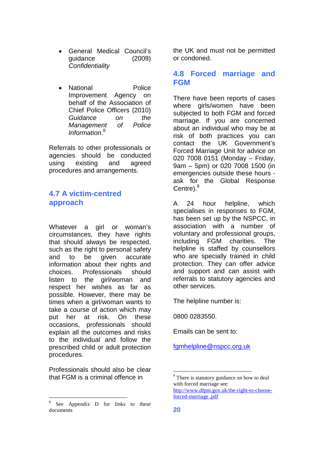- General Medical Council's guidance (2009) *Confidentiality*
- National Police Improvement Agency on behalf of the Association of Chief Police Officers (2010) *Guidance on the Management of Police Information*. [8](#page-23-0)

Referrals to other professionals or agencies should be conducted using existing and agreed procedures and arrangements.

## **4.7 A victim-centred approach**

Whatever a girl or woman's circumstances, they have rights that should always be respected, such as the right to personal safety and to be given accurate information about their rights and choices. Professionals should listen to the girl/woman and respect her wishes as far as possible. However, there may be times when a girl/woman wants to take a course of action which may put her at risk. On these occasions, professionals should explain all the outcomes and risks to the individual and follow the prescribed child or adult protection procedures.

Professionals should also be clear that FGM is a criminal offence in

the UK and must not be permitted or condoned.

### **4.8 Forced marriage and FGM**

There have been reports of cases where girls/women have been subjected to both FGM and forced marriage. If you are concerned about an individual who may be at risk of both practices you can contact the UK Government's Forced Marriage Unit for advice on 020 7008 0151 (Monday – Friday, 9am – 5pm) or 020 7008 1500 (in emergencies outside these hours ask for the Global Response Centre).<sup>[9](#page-23-1)</sup>

A 24 hour helpline, which specialises in responses to FGM, has been set up by the NSPCC, in association with a number of voluntary and professional groups, including FGM charities. The helpline is staffed by counsellors who are specially trained in child protection. They can offer advice and support and can assist with referrals to statutory agencies and other services.

The helpline number is:

0800 0283550.

Emails can be sent to:

[fgmhelpline@nspcc.org.uk](mailto:fgmhelpline@nspcc.org.uk)

<span id="page-23-0"></span><sup>8</sup> See Appendix D for links to these documents

<span id="page-23-1"></span><sup>&</sup>lt;sup>9</sup> There is statutory guidance on how to deal with forced marriage see: http://www.dfpni.gov.uk/the-right-to-chooseforced-marriage .pdf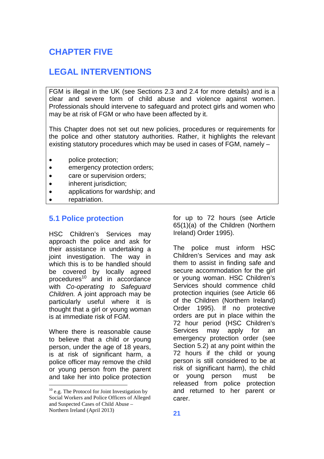# **CHAPTER FIVE**

## **LEGAL INTERVENTIONS**

FGM is illegal in the UK (see Sections 2.3 and 2.4 for more details) and is a clear and severe form of child abuse and violence against women. Professionals should intervene to safeguard and protect girls and women who may be at risk of FGM or who have been affected by it.

This Chapter does not set out new policies, procedures or requirements for the police and other statutory authorities. Rather, it highlights the relevant existing statutory procedures which may be used in cases of FGM, namely –

- police protection;
- emergency protection orders;
- care or supervision orders;
- inherent jurisdiction;
- applications for wardship; and
- repatriation.

### **5.1 Police protection**

HSC Children's Services may approach the police and ask for their assistance in undertaking a joint investigation. The way in which this is to be handled should be covered by locally agreed procedures<sup>[10](#page-24-0)</sup> and in accordance with *Co-operating to Safeguard Children.* A joint approach may be particularly useful where it is thought that a girl or young woman is at immediate risk of FGM.

Where there is reasonable cause to believe that a child or young person, under the age of 18 years, is at risk of significant harm, a police officer may remove the child or young person from the parent and take her into police protection

for up to 72 hours (see Article 65(1)(a) of the Children (Northern Ireland) Order 1995).

The police must inform HSC Children's Services and may ask them to assist in finding safe and secure accommodation for the girl or young woman. HSC Children's Services should commence child protection inquiries (see Article 66 of the Children (Northern Ireland) Order 1995). If no protective orders are put in place within the 72 hour period (HSC Children's Services may apply for an emergency protection order (see Section 5.2) at any point within the 72 hours if the child or young person is still considered to be at risk of significant harm), the child or young person must be released from police protection and returned to her parent or carer.

<span id="page-24-0"></span> $10$  e.g. The Protocol for Joint Investigation by Social Workers and Police Officers of Alleged and Suspected Cases of Child Abuse – Northern Ireland (April 2013)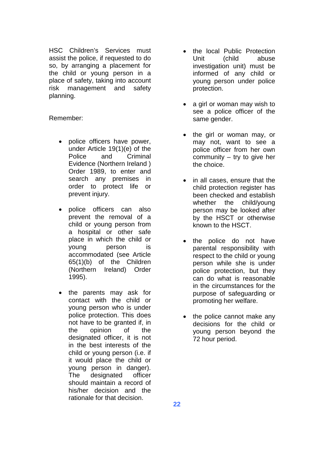HSC Children's Services must assist the police, if requested to do so, by arranging a placement for the child or young person in a place of safety, taking into account risk management and safety planning.

Remember:

- police officers have power, under Article 19(1)(e) of the Police and Criminal Evidence (Northern Ireland ) Order 1989, to enter and search any premises in order to protect life or prevent injury.
- police officers can also prevent the removal of a child or young person from a hospital or other safe place in which the child or young person is accommodated (see Article 65(1)(b) of the Children (Northern Ireland) Order 1995).
- the parents may ask for contact with the child or young person who is under police protection. This does not have to be granted if, in the opinion of the designated officer, it is not in the best interests of the child or young person (i.e. if it would place the child or young person in danger). The designated officer should maintain a record of his/her decision and the rationale for that decision.
- the local Public Protection Unit (child abuse investigation unit) must be informed of any child or young person under police protection.
- a girl or woman may wish to see a police officer of the same gender.
- the girl or woman may, or may not, want to see a police officer from her own community – try to give her the choice.
- in all cases, ensure that the child protection register has been checked and establish whether the child/young person may be looked after by the HSCT or otherwise known to the HSCT.
- the police do not have parental responsibility with respect to the child or young person while she is under police protection, but they can do what is reasonable in the circumstances for the purpose of safeguarding or promoting her welfare.
- the police cannot make any decisions for the child or young person beyond the 72 hour period.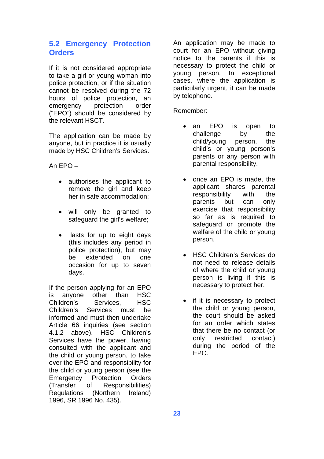### **5.2 Emergency Protection Orders**

If it is not considered appropriate to take a girl or young woman into police protection, or if the situation cannot be resolved during the 72 hours of police protection, an emergency protection order ("EPO") should be considered by the relevant HSCT.

The application can be made by anyone, but in practice it is usually made by HSC Children's Services.

An  $FPO-$ 

- authorises the applicant to remove the girl and keep her in safe accommodation;
- will only be granted to safeguard the girl's welfare;
- lasts for up to eight days (this includes any period in police protection), but may be extended on one occasion for up to seven days.

If the person applying for an EPO is anyone other than HSC Children's Services, HSC Children's Services must be informed and must then undertake Article 66 inquiries (see section 4.1.2 above). HSC Children's Services have the power, having consulted with the applicant and the child or young person, to take over the EPO and responsibility for the child or young person (see the Emergency Protection Orders (Transfer of Responsibilities) Regulations (Northern Ireland) 1996, SR 1996 No. 435).

An application may be made to court for an EPO without giving notice to the parents if this is necessary to protect the child or young person. In exceptional cases, where the application is particularly urgent, it can be made by telephone.

Remember:

- an EPO is open to challenge by the child/young person, the child's or young person's parents or any person with parental responsibility.
- once an EPO is made, the applicant shares parental responsibility with the parents but can only exercise that responsibility so far as is required to safeguard or promote the welfare of the child or young person.
- HSC Children's Services do not need to release details of where the child or young person is living if this is necessary to protect her.
- if it is necessary to protect the child or young person, the court should be asked for an order which states that there be no contact (or only restricted contact) during the period of the EPO.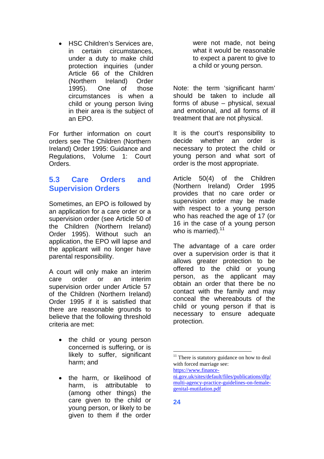HSC Children's Services are, in certain circumstances, under a duty to make child protection inquiries (under Article 66 of the Children (Northern Ireland) Order 1995). One of those circumstances is when a child or young person living in their area is the subject of an EPO.

For further information on court orders see The Children (Northern Ireland) Order 1995: Guidance and Regulations, Volume 1: Court Orders.

## **5.3 Care Orders and Supervision Orders**

Sometimes, an EPO is followed by an application for a care order or a supervision order (see Article 50 of the Children (Northern Ireland) Order 1995). Without such an application, the EPO will lapse and the applicant will no longer have parental responsibility.

A court will only make an interim care order or an interim supervision order under Article 57 of the Children (Northern Ireland) Order 1995 if it is satisfied that there are reasonable grounds to believe that the following threshold criteria are met:

- the child or young person concerned is suffering, or is likely to suffer, significant harm; and
- the harm, or likelihood of harm, is attributable to (among other things) the care given to the child or young person, or likely to be given to them if the order

were not made, not being what it would be reasonable to expect a parent to give to a child or young person.

Note: the term 'significant harm' should be taken to include all forms of abuse – physical, sexual and emotional, and all forms of ill treatment that are not physical.

It is the court's responsibility to decide whether an order is necessary to protect the child or young person and what sort of order is the most appropriate.

Article 50(4) of the Children (Northern Ireland) Order 1995 provides that no care order or supervision order may be made with respect to a young person who has reached the age of 17 (or 16 in the case of a young person who is married). $11$ 

The advantage of a care order over a supervision order is that it allows greater protection to be offered to the child or young person, as the applicant may obtain an order that there be no contact with the family and may conceal the whereabouts of the child or young person if that is necessary to ensure adequate protection.

<span id="page-27-0"></span> $11$  There is statutory guidance on how to deal with forced marriage see: https://www.finance-

ni.gov.uk/sites/default/files/publications/dfp/ multi-agency-practice-guidelines-on-femalegenital-mutilation.pdf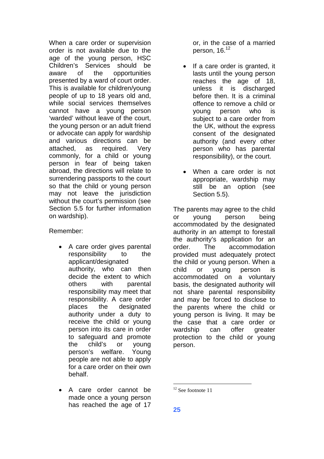When a care order or supervision order is not available due to the age of the young person, HSC Children's Services should be aware of the opportunities presented by a ward of court order. This is available for children/young people of up to 18 years old and, while social services themselves cannot have a young person 'warded' without leave of the court, the young person or an adult friend or advocate can apply for wardship and various directions can be attached, as required. Very commonly, for a child or young person in fear of being taken abroad, the directions will relate to surrendering passports to the court so that the child or young person may not leave the jurisdiction without the court's permission (see Section 5.5 for further information on wardship).

Remember:

- A care order gives parental responsibility to the applicant/designated authority, who can then decide the extent to which others with parental responsibility may meet that responsibility. A care order places the designated authority under a duty to receive the child or young person into its care in order to safeguard and promote the child's or young person's welfare. Young people are not able to apply for a care order on their own behalf.
- A care order cannot be made once a young person has reached the age of 17

or, in the case of a married person,16[.](#page-28-0)<sup>12</sup>

- If a care order is granted, it lasts until the young person reaches the age of 18, unless it is discharged before then. It is a criminal offence to remove a child or young person who is subject to a care order from the UK, without the express consent of the designated authority (and every other person who has parental responsibility), or the court.
- When a care order is not appropriate, wardship may still be an option (see Section 5.5).

The parents may agree to the child or young person being accommodated by the designated authority in an attempt to forestall the authority's application for an order. The accommodation provided must adequately protect the child or young person. When a child or young person is accommodated on a voluntary basis, the designated authority will not share parental responsibility and may be forced to disclose to the parents where the child or young person is living. It may be the case that a care order or wardship can offer greater protection to the child or young person.

<span id="page-28-0"></span> $12$  See footnote 11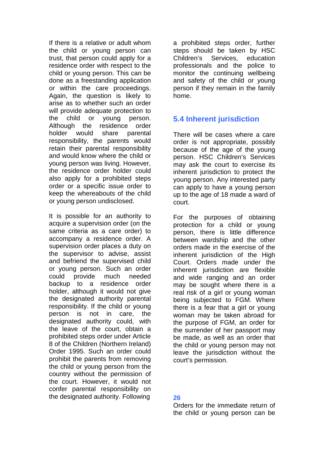If there is a relative or adult whom the child or young person can trust, that person could apply for a residence order with respect to the child or young person. This can be done as a freestanding application or within the care proceedings. Again, the question is likely to arise as to whether such an order will provide adequate protection to the child or young person. Although the residence order holder would share parental responsibility, the parents would retain their parental responsibility and would know where the child or young person was living. However, the residence order holder could also apply for a prohibited steps order or a specific issue order to keep the whereabouts of the child or young person undisclosed.

It is possible for an authority to acquire a supervision order (on the same criteria as a care order) to accompany a residence order. A supervision order places a duty on the supervisor to advise, assist and befriend the supervised child or young person. Such an order could provide much needed backup to a residence order holder, although it would not give the designated authority parental responsibility. If the child or young person is not in care, the designated authority could, with the leave of the court, obtain a prohibited steps order under Article 8 of the Children (Northern Ireland) Order 1995. Such an order could prohibit the parents from removing the child or young person from the country without the permission of the court. However, it would not confer parental responsibility on the designated authority. Following

a prohibited steps order, further steps should be taken by HSC Children's Services, education professionals and the police to monitor the continuing wellbeing and safety of the child or young person if they remain in the family home.

## **5.4 Inherent jurisdiction**

There will be cases where a care order is not appropriate, possibly because of the age of the young person. HSC Children's Services may ask the court to exercise its inherent jurisdiction to protect the young person. Any interested party can apply to have a young person up to the age of 18 made a ward of court.

For the purposes of obtaining protection for a child or young person, there is little difference between wardship and the other orders made in the exercise of the inherent jurisdiction of the High Court. Orders made under the inherent jurisdiction are flexible and wide ranging and an order may be sought where there is a real risk of a girl or young woman being subjected to FGM. Where there is a fear that a girl or young woman may be taken abroad for the purpose of FGM, an order for the surrender of her passport may be made, as well as an order that the child or young person may not leave the jurisdiction without the court's permission.

### **26**

Orders for the immediate return of the child or young person can be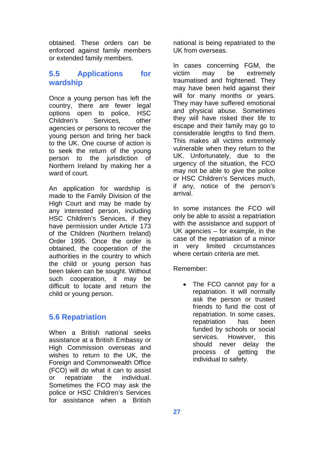obtained. These orders can be enforced against family members or extended family members.

## **5.5 Applications for wardship**

Once a young person has left the country, there are fewer legal options open to police, HSC Children's Services, other agencies or persons to recover the young person and bring her back to the UK. One course of action is to seek the return of the young person to the jurisdiction of Northern Ireland by making her a ward of court.

An application for wardship is made to the Family Division of the High Court and may be made by any interested person, including HSC Children's Services, if they have permission under Article 173 of the Children (Northern Ireland) Order 1995. Once the order is obtained, the cooperation of the authorities in the country to which the child or young person has been taken can be sought. Without such cooperation, it may be difficult to locate and return the child or young person.

## **5.6 Repatriation**

When a British national seeks assistance at a British Embassy or High Commission overseas and wishes to return to the UK, the Foreign and Commonwealth Office (FCO) will do what it can to assist or repatriate the individual. Sometimes the FCO may ask the police or HSC Children's Services for assistance when a British

national is being repatriated to the UK from overseas.

In cases concerning FGM, the victim may be extremely traumatised and frightened. They may have been held against their will for many months or years. They may have suffered emotional and physical abuse. Sometimes they will have risked their life to escape and their family may go to considerable lengths to find them. This makes all victims extremely vulnerable when they return to the UK. Unfortunately, due to the urgency of the situation, the FCO may not be able to give the police or HSC Children's Services much, if any, notice of the person's arrival.

In some instances the FCO will only be able to assist a repatriation with the assistance and support of UK agencies – for example, in the case of the repatriation of a minor in very limited circumstances where certain criteria are met.

Remember:

• The FCO cannot pay for a repatriation. It will normally ask the person or trusted friends to fund the cost of repatriation. In some cases, repatriation has been funded by schools or social services. However, this should never delay the process of getting the individual to safety.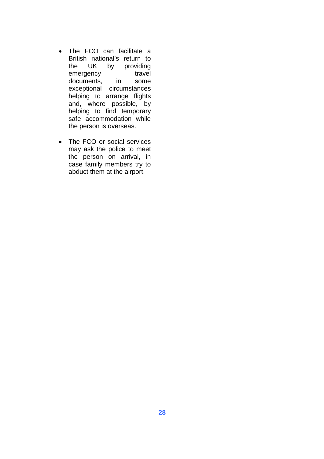- The FCO can facilitate a British national's return to the UK by providing emergency travel documents, in some exceptional circumstances helping to arrange flights and, where possible, by helping to find temporary safe accommodation while the person is overseas.
- The FCO or social services may ask the police to meet the person on arrival, in case family members try to abduct them at the airport.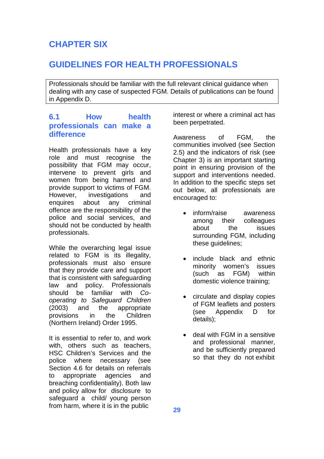# **CHAPTER SIX**

## **GUIDELINES FOR HEALTH PROFESSIONALS**

Professionals should be familiar with the full relevant clinical guidance when dealing with any case of suspected FGM. Details of publications can be found in Appendix D.

## **6.1 How health professionals can make a difference**

Health professionals have a key role and must recognise the possibility that FGM may occur, intervene to prevent girls and women from being harmed and provide support to victims of FGM. However, investigations and enquires about any criminal offence are the responsibility of the police and social services, and should not be conducted by health professionals.

While the overarching legal issue related to FGM is its illegality, professionals must also ensure that they provide care and support that is consistent with safeguarding law and policy. Professionals should be familiar with *Cooperating to Safeguard Children* (2003) and the appropriate provisions in the Children (Northern Ireland) Order 1995.

It is essential to refer to, and work with, others such as teachers, HSC Children's Services and the police where necessary (see Section 4.6 for details on referrals to appropriate agencies and breaching confidentiality). Both law and policy allow for disclosure to safeguard a child/ young person from harm, where it is in the public

interest or where a criminal act has been perpetrated.

Awareness of FGM, the communities involved (see Section 2.5) and the indicators of risk (see Chapter 3) is an important starting point in ensuring provision of the support and interventions needed. In addition to the specific steps set out below, all professionals are encouraged to:

- inform/raise awareness among their colleagues about the issues surrounding FGM, including these guidelines;
- include black and ethnic minority women's issues (such as FGM) within domestic violence training;
- circulate and display copies of FGM leaflets and posters (see Appendix D for details);
- deal with FGM in a sensitive and professional manner, and be sufficiently prepared so that they do not exhibit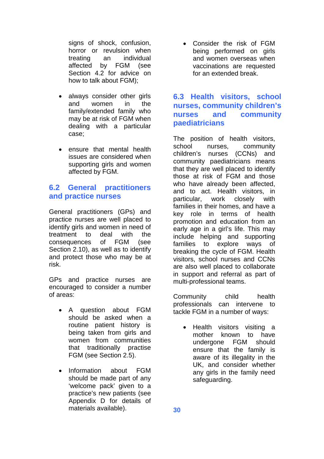signs of shock, confusion, horror or revulsion when treating an individual affected by FGM (see Section 4.2 for advice on how to talk about FGM);

- always consider other girls and women in the family/extended family who may be at risk of FGM when dealing with a particular case;
- ensure that mental health issues are considered when supporting girls and women affected by FGM.

## **6.2 General practitioners and practice nurses**

General practitioners (GPs) and practice nurses are well placed to identify girls and women in need of treatment to deal with the consequences of FGM (see Section 2.10), as well as to identify and protect those who may be at risk.

GPs and practice nurses are encouraged to consider a number of areas:

- A question about FGM should be asked when a routine patient history is being taken from girls and women from communities that traditionally practise FGM (see Section 2.5).
- Information about FGM should be made part of any 'welcome pack' given to a practice's new patients (see Appendix D for details of materials available).

 Consider the risk of FGM being performed on girls and women overseas when vaccinations are requested for an extended break.

## **6.3 Health visitors, school nurses, community children's nurses and community paediatricians**

The position of health visitors, school nurses, community children's nurses (CCNs) and community paediatricians means that they are well placed to identify those at risk of FGM and those who have already been affected, and to act. Health visitors, in particular, work closely with families in their homes, and have a key role in terms of health promotion and education from an early age in a girl's life. This may include helping and supporting families to explore ways of breaking the cycle of FGM. Health visitors, school nurses and CCNs are also well placed to collaborate in support and referral as part of multi-professional teams.

Community child health professionals can intervene to tackle FGM in a number of ways:

• Health visitors visiting a mother known to have undergone FGM should ensure that the family is aware of its illegality in the UK, and consider whether any girls in the family need safeguarding.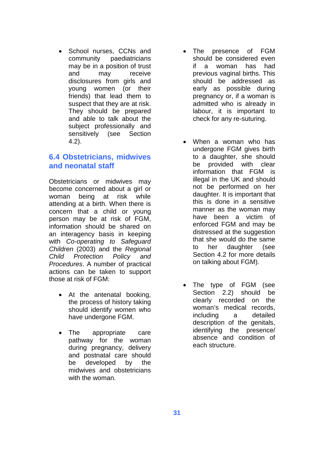School nurses, CCNs and community paediatricians may be in a position of trust and may receive disclosures from girls and young women (or their friends) that lead them to suspect that they are at risk. They should be prepared and able to talk about the subject professionally and sensitively (see Section 4.2).

### **6.4 Obstetricians, midwives and neonatal staff**

Obstetricians or midwives may become concerned about a girl or woman being at risk while attending at a birth. When there is concern that a child or young person may be at risk of FGM, information should be shared on an interagency basis in keeping with *Co-operating to Safeguard Children* (2003) and the *Regional Child Protection Policy and Procedures*. A number of practical actions can be taken to support those at risk of FGM:

- At the antenatal booking, the process of history taking should identify women who have undergone FGM.
- The appropriate care pathway for the woman during pregnancy, delivery and postnatal care should be developed by the midwives and obstetricians with the woman.
- The presence of FGM should be considered even if a woman has had previous vaginal births. This should be addressed as early as possible during pregnancy or, if a woman is admitted who is already in labour, it is important to check for any re-suturing.
- When a woman who has undergone FGM gives birth to a daughter, she should be provided with clear information that FGM is illegal in the UK and should not be performed on her daughter. It is important that this is done in a sensitive manner as the woman may have been a victim of enforced FGM and may be distressed at the suggestion that she would do the same to her daughter (see Section 4.2 for more details on talking about FGM).
- The type of FGM (see Section 2.2) should be clearly recorded on the woman's medical records, including a detailed description of the genitals, identifying the presence/ absence and condition of each structure.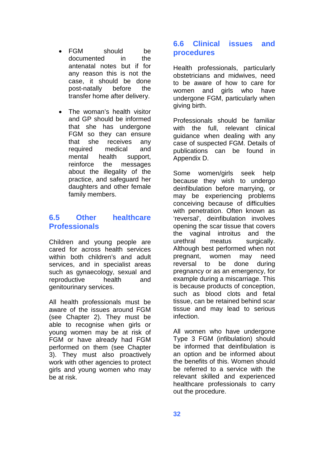- FGM should be documented in the antenatal notes but if for any reason this is not the case, it should be done post-natally before the transfer home after delivery.
- The woman's health visitor and GP should be informed that she has undergone FGM so they can ensure that she receives any required medical and mental health support, reinforce the messages about the illegality of the practice, and safeguard her daughters and other female family members.

### **6.5 Other healthcare Professionals**

Children and young people are cared for across health services within both children's and adult services, and in specialist areas such as gynaecology, sexual and reproductive health and genitourinary services.

All health professionals must be aware of the issues around FGM (see Chapter 2). They must be able to recognise when girls or young women may be at risk of FGM or have already had FGM performed on them (see Chapter 3). They must also proactively work with other agencies to protect girls and young women who may be at risk.

## **6.6 Clinical issues and procedures**

Health professionals, particularly obstetricians and midwives, need to be aware of how to care for women and girls who have undergone FGM, particularly when giving birth.

Professionals should be familiar with the full, relevant clinical guidance when dealing with any case of suspected FGM. Details of publications can be found in Appendix D.

Some women/girls seek help because they wish to undergo deinfibulation before marrying, or may be experiencing problems conceiving because of difficulties with penetration. Often known as 'reversal', deinfibulation involves opening the scar tissue that covers the vaginal introitus and the urethral meatus surgically. Although best performed when not pregnant, women may need reversal to be done during pregnancy or as an emergency, for example during a miscarriage. This is because products of conception, such as blood clots and fetal tissue, can be retained behind scar tissue and may lead to serious infection.

All women who have undergone Type 3 FGM (infibulation) should be informed that deinfibulation is an option and be informed about the benefits of this. Women should be referred to a service with the relevant skilled and experienced healthcare professionals to carry out the procedure.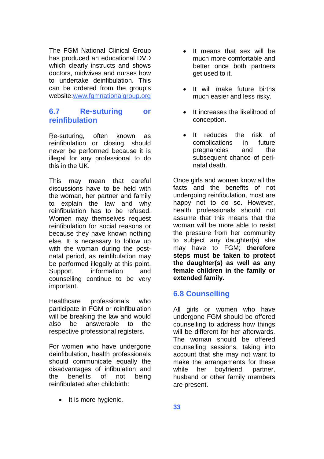The FGM National Clinical Group has produced an educational DVD which clearly instructs and shows doctors, midwives and nurses how to undertake deinfibulation. This can be ordered from the group's website:www.fgmnationalgroup.org

## **6.7 Re-suturing or reinfibulation**

Re-suturing, often known as reinfibulation or closing, should never be performed because it is illegal for any professional to do this in the UK.

This may mean that careful discussions have to be held with the woman, her partner and family to explain the law and why reinfibulation has to be refused. Women may themselves request reinfibulation for social reasons or because they have known nothing else. It is necessary to follow up with the woman during the postnatal period, as reinfibulation may be performed illegally at this point. Support, information and counselling continue to be very important.

Healthcare professionals who participate in FGM or reinfibulation will be breaking the law and would also be answerable to the respective professional registers.

For women who have undergone deinfibulation, health professionals should communicate equally the disadvantages of infibulation and the benefits of not being reinfibulated after childbirth:

• It is more hygienic.

- It means that sex will be much more comfortable and better once both partners get used to it.
- It will make future births much easier and less risky.
- It increases the likelihood of conception.
- It reduces the risk of complications in future pregnancies and the subsequent chance of perinatal death.

Once girls and women know all the facts and the benefits of not undergoing reinfibulation, most are happy not to do so. However, health professionals should not assume that this means that the woman will be more able to resist the pressure from her community to subject any daughter(s) she may have to FGM; **therefore steps must be taken to protect the daughter(s) as well as any female children in the family or extended family.**

## **6.8 Counselling**

All girls or women who have undergone FGM should be offered counselling to address how things will be different for her afterwards. The woman should be offered counselling sessions, taking into account that she may not want to make the arrangements for these while her boyfriend, partner, husband or other family members are present.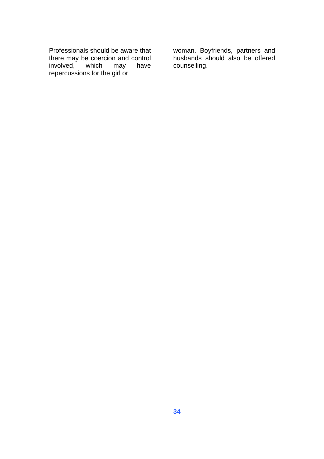Professionals should be aware that there may be coercion and control involved, which may have repercussions for the girl or

woman. Boyfriends, partners and husbands should also be offered counselling.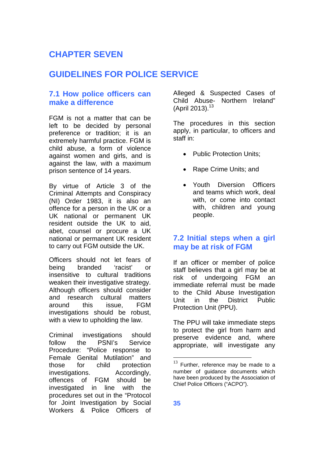# **CHAPTER SEVEN**

## **GUIDELINES FOR POLICE SERVICE**

## **7.1 How police officers can make a difference**

FGM is not a matter that can be left to be decided by personal preference or tradition; it is an extremely harmful practice. FGM is child abuse, a form of violence against women and girls, and is against the law, with a maximum prison sentence of 14 years.

By virtue of Article 3 of the Criminal Attempts and Conspiracy (NI) Order 1983, it is also an offence for a person in the UK or a UK national or permanent UK resident outside the UK to aid, abet, counsel or procure a UK national or permanent UK resident to carry out FGM outside the UK.

Officers should not let fears of being branded 'racist' or insensitive to cultural traditions weaken their investigative strategy. Although officers should consider and research cultural matters around this issue, FGM investigations should be robust, with a view to upholding the law.

Criminal investigations should follow the PSNI's Service Procedure: "Police response to Female Genital Mutilation" and those for child protection investigations. Accordingly, offences of FGM should be investigated in line with the procedures set out in the "Protocol for Joint Investigation by Social Workers & Police Officers of Alleged & Suspected Cases of Child Abuse- Northern Ireland" (April 20[13](#page-38-0)).<sup>13</sup>

The procedures in this section apply, in particular, to officers and staff in:

- Public Protection Units;
- Rape Crime Units; and
- Youth Diversion Officers and teams which work, deal with, or come into contact with, children and young people.

## **7.2 Initial steps when a girl may be at risk of FGM**

If an officer or member of police staff believes that a girl may be at risk of undergoing FGM an immediate referral must be made to the Child Abuse Investigation Unit in the District Public Protection Unit (PPU).

The PPU will take immediate steps to protect the girl from harm and preserve evidence and, where appropriate, will investigate any

<span id="page-38-0"></span> $13$  Further, reference may be made to a number of guidance documents which have been produced by the Association of Chief Police Officers ("ACPO").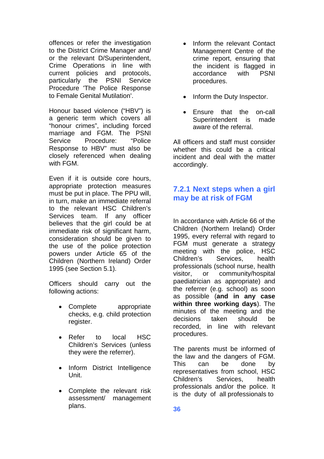offences or refer the investigation to the District Crime Manager and/ or the relevant D/Superintendent, Crime Operations in line with current policies and protocols, particularly the PSNI Service Procedure 'The Police Response to Female Genital Mutilation'.

Honour based violence ("HBV") is a generic term which covers all "honour crimes", including forced marriage and FGM. The PSNI Service Procedure: "Police Response to HBV" must also be closely referenced when dealing with FGM.

Even if it is outside core hours, appropriate protection measures must be put in place. The PPU will, in turn, make an immediate referral to the relevant HSC Children's Services team. If any officer believes that the girl could be at immediate risk of significant harm, consideration should be given to the use of the police protection powers under Article 65 of the Children (Northern Ireland) Order 1995 (see Section 5.1).

Officers should carry out the following actions:

- Complete appropriate checks, e.g. child protection register.
- Refer to local HSC Children's Services (unless they were the referrer).
- Inform District Intelligence Unit.
- Complete the relevant risk assessment/ management plans.
- Inform the relevant Contact Management Centre of the crime report, ensuring that the incident is flagged in accordance with PSNI procedures.
- Inform the Duty Inspector.
- Ensure that the on-call Superintendent is made aware of the referral.

All officers and staff must consider whether this could be a critical incident and deal with the matter accordingly.

## **7.2.1 Next steps when a girl may be at risk of FGM**

In accordance with Article 66 of the Children (Northern Ireland) Order 1995, every referral with regard to FGM must generate a strategy meeting with the police, HSC Children's Services, health professionals (school nurse, health visitor, or community/hospital paediatrician as appropriate) and the referrer (e.g. school) as soon as possible (**and in any case within three working days**). The minutes of the meeting and the decisions taken should be recorded, in line with relevant procedures.

The parents must be informed of the law and the dangers of FGM. This can be done by representatives from school, HSC Children's Services, health professionals and/or the police. It is the duty of all professionals to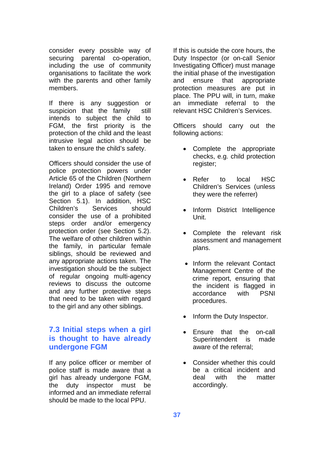consider every possible way of securing parental co-operation, including the use of community organisations to facilitate the work with the parents and other family members.

If there is any suggestion or suspicion that the family still intends to subject the child to FGM, the first priority is the protection of the child and the least intrusive legal action should be taken to ensure the child's safety.

Officers should consider the use of police protection powers under Article 65 of the Children (Northern Ireland) Order 1995 and remove the girl to a place of safety (see Section 5.1). In addition, HSC Children's Services should consider the use of a prohibited steps order and/or emergency protection order (see Section 5.2). The welfare of other children within the family, in particular female siblings, should be reviewed and any appropriate actions taken. The investigation should be the subject of regular ongoing multi-agency reviews to discuss the outcome and any further protective steps that need to be taken with regard to the girl and any other siblings.

## **7.3 Initial steps when a girl is thought to have already undergone FGM**

If any police officer or member of police staff is made aware that a girl has already undergone FGM, the duty inspector must be informed and an immediate referral should be made to the local PPU.

If this is outside the core hours, the Duty Inspector (or on-call Senior Investigating Officer) must manage the initial phase of the investigation and ensure that appropriate protection measures are put in place. The PPU will, in turn, make an immediate referral to the relevant HSC Children's Services.

Officers should carry out the following actions:

- Complete the appropriate checks, e.g. child protection register;
- Refer to local HSC Children's Services (unless they were the referrer)
- Inform District Intelligence Unit.
- Complete the relevant risk assessment and management plans.
- Inform the relevant Contact Management Centre of the crime report, ensuring that the incident is flagged in accordance with PSNI procedures.
- Inform the Duty Inspector.
- Ensure that the on-call Superintendent is made aware of the referral;
- Consider whether this could be a critical incident and deal with the matter accordingly.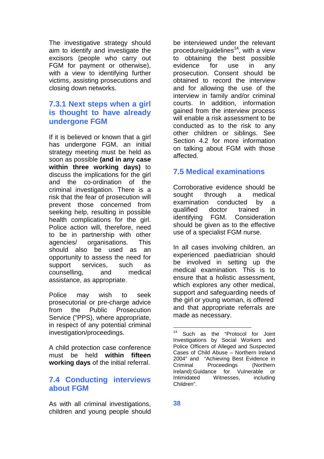The investigative strategy should aim to identify and investigate the excisors (people who carry out FGM for payment or otherwise), with a view to identifying further victims, assisting prosecutions and closing down networks.

### **7.3.1 Next steps when a girl is thought to have already undergone FGM**

If it is believed or known that a girl has undergone FGM, an initial strategy meeting must be held as soon as possible **(and in any case within three working days)** to discuss the implications for the girl and the co-ordination of the criminal investigation. There is a risk that the fear of prosecution will prevent those concerned from seeking help, resulting in possible health complications for the girl. Police action will, therefore, need to be in partnership with other agencies/ organisations. This should also be used as an opportunity to assess the need for support services, such as counselling, and medical assistance, as appropriate.

Police may wish to seek prosecutorial or pre-charge advice from the Public Prosecution Service ("PPS), where appropriate, in respect of any potential criminal investigation/proceedings.

A child protection case conference must be held **within fifteen working days** of the initial referral.

### **7.4 Conducting interviews about FGM**

As with all criminal investigations, children and young people should be interviewed under the relevant procedure/guidelines<sup>14</sup>[,](#page-41-0) with a view to obtaining the best possible evidence for use in any prosecution. Consent should be obtained to record the interview and for allowing the use of the interview in family and/or criminal courts. In addition, information gained from the interview process will enable a risk assessment to be conducted as to the risk to any other children or siblings. See Section 4.2 for more information on talking about FGM with those affected.

## **7.5 Medical examinations**

Corroborative evidence should be sought through a medical examination conducted by a qualified doctor trained in identifying FGM. Consideration should be given as to the effective use of a specialist FGM nurse.

In all cases involving children, an experienced paediatrician should be involved in setting up the medical examination. This is to ensure that a holistic assessment, which explores any other medical, support and safeguarding needs of the girl or young woman, is offered and that appropriate referrals are made as necessary.

<span id="page-41-0"></span><sup>14</sup> Such as the "Protocol for Joint Investigations by Social Workers and Police Officers of Alleged and Suspected Cases of Child Abuse – Northern Ireland 2004" and "Achieving Best Evidence in<br>Criminal Proceedings (Northern Proceedings Ireland):Guidance for Vulnerable or Intimidated Witnesses, including Children".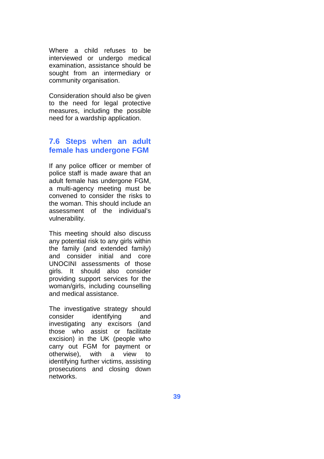Where a child refuses to be interviewed or undergo medical examination, assistance should be sought from an intermediary or community organisation.

Consideration should also be given to the need for legal protective measures, including the possible need for a wardship application.

### **7.6 Steps when an adult female has undergone FGM**

If any police officer or member of police staff is made aware that an adult female has undergone FGM, a multi-agency meeting must be convened to consider the risks to the woman. This should include an assessment of the individual's vulnerability.

This meeting should also discuss any potential risk to any girls within the family (and extended family) and consider initial and core UNOCINI assessments of those girls. It should also consider providing support services for the woman/girls, including counselling and medical assistance.

The investigative strategy should consider identifying and investigating any excisors (and those who assist or facilitate excision) in the UK (people who carry out FGM for payment or otherwise), with a view to identifying further victims, assisting prosecutions and closing down networks.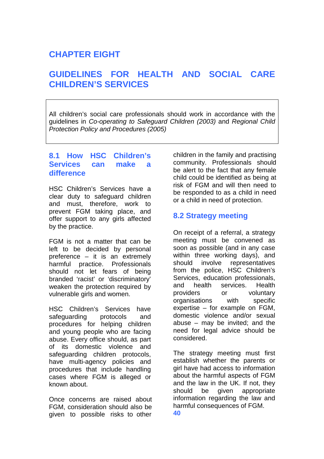# **CHAPTER EIGHT**

## **GUIDELINES FOR HEALTH AND SOCIAL CARE CHILDREN'S SERVICES**

All children's social care professionals should work in accordance with the guidelines in *Co-operating to Safeguard Children (2003)* and *Regional Child Protection Policy and Procedures (2005)*

## **8.1 How HSC Children's Services can make a difference**

HSC Children's Services have a clear duty to safeguard children and must, therefore, work to prevent FGM taking place, and offer support to any girls affected by the practice.

FGM is not a matter that can be left to be decided by personal preference – it is an extremely harmful practice. Professionals should not let fears of being branded 'racist' or 'discriminatory' weaken the protection required by vulnerable girls and women.

HSC Children's Services have safeguarding protocols and procedures for helping children and young people who are facing abuse. Every office should, as part of its domestic violence and safeguarding children protocols, have multi-agency policies and procedures that include handling cases where FGM is alleged or known about.

Once concerns are raised about FGM, consideration should also be given to possible risks to other

children in the family and practising community. Professionals should be alert to the fact that any female child could be identified as being at risk of FGM and will then need to be responded to as a child in need or a child in need of protection.

## **8.2 Strategy meeting**

On receipt of a referral, a strategy meeting must be convened as soon as possible (and in any case within three working days), and should involve representatives from the police, HSC Children's Services, education professionals, and health services. Health providers or voluntary organisations with specific expertise – for example on FGM, domestic violence and/or sexual abuse – may be invited; and the need for legal advice should be considered.

The strategy meeting must first establish whether the parents or girl have had access to information about the harmful aspects of FGM and the law in the UK. If not, they should be given appropriate information regarding the law and harmful consequences of FGM. **40**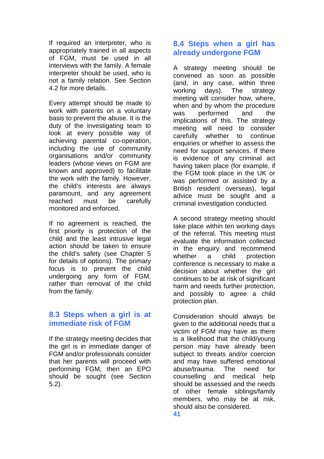If required an interpreter, who is appropriately trained in all aspects of FGM, must be used in all interviews with the family. A female interpreter should be used, who is not a family relation. See Section 4.2 for more details.

Every attempt should be made to work with parents on a voluntary basis to prevent the abuse. It is the duty of the investigating team to look at every possible way of achieving parental co-operation, including the use of community organisations and/or community leaders (whose views on FGM are known and approved) to facilitate the work with the family. However, the child's interests are always paramount, and any agreement reached must be carefully monitored and enforced.

If no agreement is reached, the first priority is protection of the child and the least intrusive legal action should be taken to ensure the child's safety (see Chapter 5 for details of options). The primary focus is to prevent the child undergoing any form of FGM, rather than removal of the child from the family.

### **8.3 Steps when a girl is at immediate risk of FGM**

If the strategy meeting decides that the girl is in immediate danger of FGM and/or professionals consider that her parents will proceed with performing FGM, then an EPO should be sought (see Section 5.2).

## **8.4 Steps when a girl has already undergone FGM**

A strategy meeting should be convened as soon as possible (and, in any case, within three working days). The strategy meeting will consider how, where, when and by whom the procedure was performed and the implications of this. The strategy meeting will need to consider carefully whether to continue enquiries or whether to assess the need for support services. If there is evidence of any criminal act having taken place (for example, if the FGM took place in the UK or was performed or assisted by a British resident overseas), legal advice must be sought and a criminal investigation conducted.

A second strategy meeting should take place within ten working days of the referral. This meeting must evaluate the information collected in the enquiry and recommend whether a child protection conference is necessary to make a decision about whether the girl continues to be at risk of significant harm and needs further protection, and possibly to agree a child protection plan.

Consideration should always be given to the additional needs that a victim of FGM may have as there is a likelihood that the child/young person may have already been subject to threats and/or coercion and may have suffered emotional abuse/trauma. The need for counselling and medical help should be assessed and the needs of other female siblings/family members, who may be at risk, should also be considered.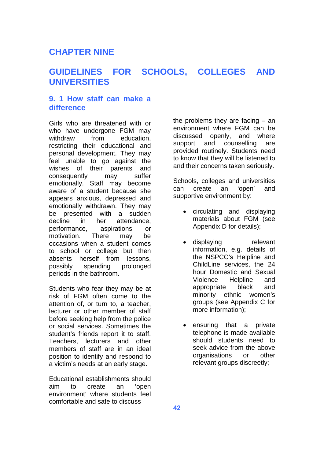## **CHAPTER NINE**

## **GUIDELINES FOR SCHOOLS, COLLEGES AND UNIVERSITIES**

## **9. 1 How staff can make a difference**

Girls who are threatened with or who have undergone FGM may withdraw from education, restricting their educational and personal development. They may feel unable to go against the wishes of their parents and consequently may suffer emotionally. Staff may become aware of a student because she appears anxious, depressed and emotionally withdrawn. They may be presented with a sudden decline in her attendance, performance, aspirations or motivation. There may be occasions when a student comes to school or college but then absents herself from lessons, possibly spending prolonged periods in the bathroom.

Students who fear they may be at risk of FGM often come to the attention of, or turn to, a teacher, lecturer or other member of staff before seeking help from the police or social services. Sometimes the student's friends report it to staff. Teachers, lecturers and other members of staff are in an ideal position to identify and respond to a victim's needs at an early stage.

Educational establishments should aim to create an 'open environment' where students feel comfortable and safe to discuss

the problems they are facing – an environment where FGM can be discussed openly, and where support and counselling are provided routinely. Students need to know that they will be listened to and their concerns taken seriously.

Schools, colleges and universities can create an 'open' and supportive environment by:

- circulating and displaying materials about FGM (see Appendix D for details);
- displaying relevant information, e.g. details of the NSPCC's Helpline and ChildLine services, the 24 hour Domestic and Sexual Violence Helpline and appropriate black and minority ethnic women's groups (see Appendix C for more information);
- ensuring that a private telephone is made available should students need to seek advice from the above organisations or other relevant groups discreetly;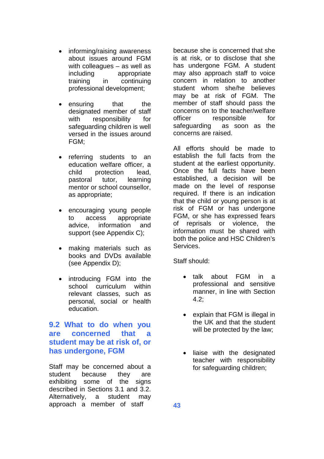- informing/raising awareness about issues around FGM with colleagues – as well as including appropriate training in continuing professional development;
- ensuring that the designated member of staff with responsibility for safeguarding children is well versed in the issues around FGM;
- referring students to an education welfare officer, a child protection lead, pastoral tutor, learning mentor or school counsellor, as appropriate;
- encouraging young people to access appropriate advice, information and support (see Appendix C);
- making materials such as books and DVDs available (see Appendix D);
- introducing FGM into the school curriculum within relevant classes, such as personal, social or health education.

## **9.2 What to do when you are concerned that a student may be at risk of, or has undergone, FGM**

Staff may be concerned about a student because they are exhibiting some of the signs described in Sections 3.1 and 3.2. Alternatively, a student may approach a member of staff

because she is concerned that she is at risk, or to disclose that she has undergone FGM. A student may also approach staff to voice concern in relation to another student whom she/he believes may be at risk of FGM. The member of staff should pass the concerns on to the teacher/welfare officer responsible for safeguarding as soon as the concerns are raised.

All efforts should be made to establish the full facts from the student at the earliest opportunity. Once the full facts have been established, a decision will be made on the level of response required. If there is an indication that the child or young person is at risk of FGM or has undergone FGM, or she has expressed fears of reprisals or violence, the information must be shared with both the police and HSC Children's Services.

Staff should:

- talk about FGM in a professional and sensitive manner, in line with Section 4.2;
- explain that FGM is illegal in the UK and that the student will be protected by the law;
- liaise with the designated teacher with responsibility for safeguarding children;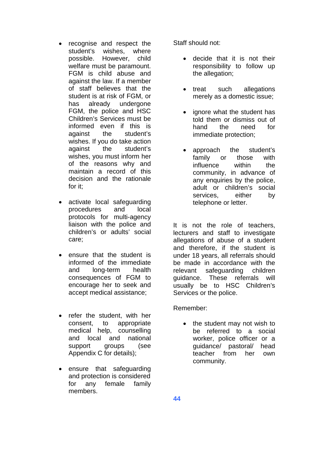- recognise and respect the student's wishes, where possible. However, child welfare must be paramount. FGM is child abuse and against the law. If a member of staff believes that the student is at risk of FGM, or has already undergone FGM, the police and HSC Children's Services must be informed even if this is against the student's wishes. If you do take action against the student's wishes, you must inform her of the reasons why and maintain a record of this decision and the rationale for it;
- activate local safeguarding procedures and local protocols for multi-agency liaison with the police and children's or adults' social care;
- ensure that the student is informed of the immediate and long-term health consequences of FGM to encourage her to seek and accept medical assistance;
- refer the student, with her consent, to appropriate medical help, counselling and local and national support groups (see Appendix C for details);
- ensure that safeguarding and protection is considered for any female family members.

Staff should not:

- decide that it is not their responsibility to follow up the allegation;
- treat such allegations merely as a domestic issue;
- ignore what the student has told them or dismiss out of hand the need for immediate protection;
- approach the student's family or those with influence within the community, in advance of any enquiries by the police. adult or children's social services. either by telephone or letter.

It is not the role of teachers, lecturers and staff to investigate allegations of abuse of a student and therefore, if the student is under 18 years, all referrals should be made in accordance with the relevant safeguarding children guidance. These referrals will usually be to HSC Children's Services or the police.

Remember:

 the student may not wish to be referred to a social worker, police officer or a guidance/ pastoral/ head teacher from her own community.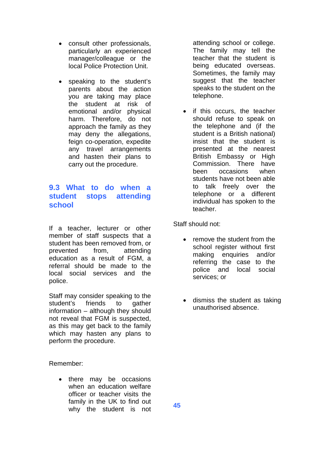- consult other professionals, particularly an experienced manager/colleague or the local Police Protection Unit.
- speaking to the student's parents about the action you are taking may place the student at risk of emotional and/or physical harm. Therefore, do not approach the family as they may deny the allegations, feign co-operation, expedite any travel arrangements and hasten their plans to carry out the procedure.

## **9.3 What to do when a student stops attending school**

If a teacher, lecturer or other member of staff suspects that a student has been removed from, or prevented from, attending education as a result of FGM, a referral should be made to the local social services and the police.

Staff may consider speaking to the student's friends to gather information – although they should not reveal that FGM is suspected, as this may get back to the family which may hasten any plans to perform the procedure.

Remember:

• there may be occasions when an education welfare officer or teacher visits the family in the UK to find out why the student is not attending school or college. The family may tell the teacher that the student is being educated overseas. Sometimes, the family may suggest that the teacher speaks to the student on the telephone.

• if this occurs, the teacher should refuse to speak on the telephone and (if the student is a British national) insist that the student is presented at the nearest British Embassy or High Commission. There have been occasions when students have not been able to talk freely over the telephone or a different individual has spoken to the teacher.

Staff should not:

- remove the student from the school register without first making enquiries and/or referring the case to the police and local social services; or
- dismiss the student as taking unauthorised absence.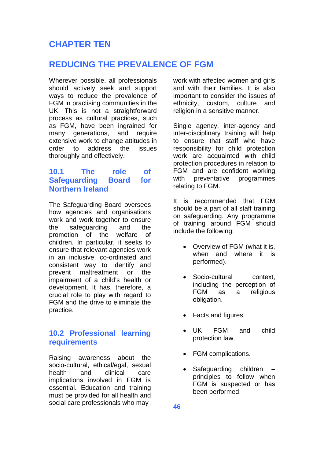## **CHAPTER TEN**

## **REDUCING THE PREVALENCE OF FGM**

Wherever possible, all professionals should actively seek and support ways to reduce the prevalence of FGM in practising communities in the UK. This is not a straightforward process as cultural practices, such as FGM, have been ingrained for many generations, and require extensive work to change attitudes in order to address the issues thoroughly and effectively.

## **10.1 The role of Safeguarding Board for Northern Ireland**

The Safeguarding Board oversees how agencies and organisations work and work together to ensure the safeguarding and the promotion of the welfare of children. In particular, it seeks to ensure that relevant agencies work in an inclusive, co-ordinated and consistent way to identify and prevent maltreatment or the impairment of a child's health or development. It has, therefore, a crucial role to play with regard to FGM and the drive to eliminate the practice.

## **10.2 Professional learning requirements**

Raising awareness about the socio-cultural, ethical/egal, sexual health and clinical care implications involved in FGM is essential. Education and training must be provided for all health and social care professionals who may

work with affected women and girls and with their families. It is also important to consider the issues of ethnicity, custom, culture and religion in a sensitive manner.

Single agency, inter-agency and inter-disciplinary training will help to ensure that staff who have responsibility for child protection work are acquainted with child protection procedures in relation to FGM and are confident working with preventative programmes relating to FGM.

It is recommended that FGM should be a part of all staff training on safeguarding. Any programme of training around FGM should include the following:

- Overview of FGM (what it is, when and where it is performed).
- Socio-cultural context. including the perception of FGM as a religious obligation.
- Facts and figures.
- UK FGM and child protection law.
- FGM complications.
- Safeguarding children principles to follow when FGM is suspected or has been performed.

**46**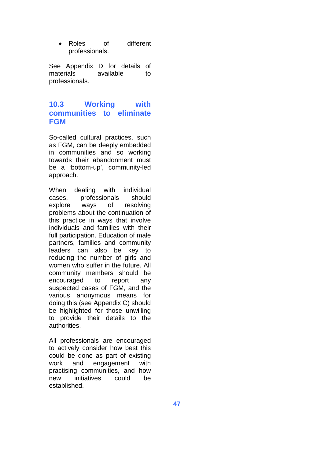Roles of different professionals.

See Appendix D for details of materials available to professionals.

## **10.3 Working with communities to eliminate FGM**

So-called cultural practices, such as FGM, can be deeply embedded in communities and so working towards their abandonment must be a 'bottom-up', community-led approach.

When dealing with individual cases, professionals should explore ways of resolving problems about the continuation of this practice in ways that involve individuals and families with their full participation. Education of male partners, families and community leaders can also be key to reducing the number of girls and women who suffer in the future. All community members should be encouraged to report any suspected cases of FGM, and the various anonymous means for doing this (see Appendix C) should be highlighted for those unwilling to provide their details to the authorities.

All professionals are encouraged to actively consider how best this could be done as part of existing work and engagement with practising communities, and how new initiatives could be established.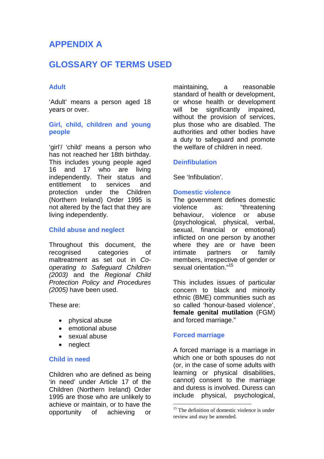## **APPENDIX A**

## **GLOSSARY OF TERMS USED**

### **Adult**

'Adult' means a person aged 18 years or over.

### **Girl, child, children and young people**

'girl'/ 'child' means a person who has not reached her 18th birthday. This includes young people aged 16 and 17 who are living independently. Their status and entitlement to services and protection under the Children (Northern Ireland) Order 1995 is not altered by the fact that they are living independently.

#### **Child abuse and neglect**

Throughout this document, the recognised categories of maltreatment as set out in *Cooperating to Safeguard Children (2003)* and the *Regional Child Protection Policy and Procedures (2005)* have been used.

These are:

- physical abuse
- emotional abuse
- sexual abuse
- neglect

#### **Child in need**

Children who are defined as being 'in need' under Article 17 of the Children (Northern Ireland) Order 1995 are those who are unlikely to achieve or maintain, or to have the opportunity of achieving or

maintaining, a reasonable standard of health or development, or whose health or development will be significantly impaired, without the provision of services, plus those who are disabled. The authorities and other bodies have a duty to safeguard and promote the welfare of children in need.

#### **Deinfibulation**

See 'Infibulation'.

#### **Domestic violence**

The government defines domestic violence as: "threatening behaviour, violence or abuse (psychological, physical, verbal, sexual, financial or emotional) inflicted on one person by another where they are or have been intimate partners or family members, irrespective of gender or sexual orientation."<sup>[15](#page-51-0)</sup>

This includes issues of particular concern to black and minority ethnic (BME) communities such as so called 'honour-based violence', **female genital mutilation** (FGM) and forced marriage."

#### **Forced marriage**

A forced marriage is a marriage in which one or both spouses do not (or, in the case of some adults with learning or physical disabilities, cannot) consent to the marriage and duress is involved. Duress can include physical, psychological,

<span id="page-51-0"></span> $15$  The definition of domestic violence is under review and may be amended.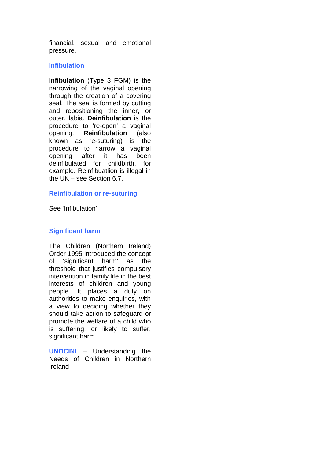financial, sexual and emotional pressure.

### **Infibulation**

**Infibulation** (Type 3 FGM) is the narrowing of the vaginal opening through the creation of a covering seal. The seal is formed by cutting and repositioning the inner, or outer, labia. **Deinfibulation** is the procedure to 're-open' a vaginal opening. **Reinfibulation** (also known as re-suturing) is the procedure to narrow a vaginal opening after it has been deinfibulated for childbirth, for example. Reinfibuatlion is illegal in the UK – see Section 6.7.

### **Reinfibulation or re-suturing**

See 'Infibulation'.

### **Significant harm**

The Children (Northern Ireland) Order 1995 introduced the concept of 'significant harm' as the threshold that justifies compulsory intervention in family life in the best interests of children and young people. It places a duty on authorities to make enquiries, with a view to deciding whether they should take action to safeguard or promote the welfare of a child who is suffering, or likely to suffer, significant harm.

**UNOCINI** – Understanding the Needs of Children in Northern Ireland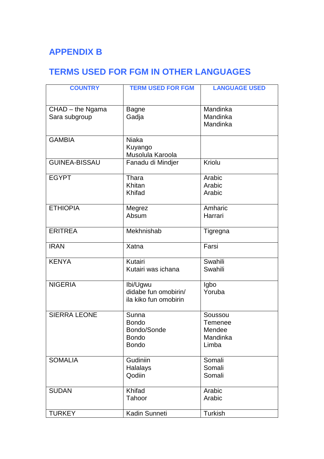# **APPENDIX B**

# **TERMS USED FOR FGM IN OTHER LANGUAGES**

| <b>COUNTRY</b>                    | <b>TERM USED FOR FGM</b>                                             | <b>LANGUAGE USED</b>                                     |
|-----------------------------------|----------------------------------------------------------------------|----------------------------------------------------------|
|                                   |                                                                      |                                                          |
| CHAD - the Ngama<br>Sara subgroup | <b>Bagne</b><br>Gadja                                                | Mandinka<br>Mandinka<br>Mandinka                         |
| <b>GAMBIA</b>                     | <b>Niaka</b><br>Kuyango<br>Musolula Karoola                          |                                                          |
| <b>GUINEA-BISSAU</b>              | Fanadu di Mindjer                                                    | Kriolu                                                   |
| <b>EGYPT</b>                      | Thara<br>Khitan<br>Khifad                                            | Arabic<br>Arabic<br>Arabic                               |
| <b>ETHIOPIA</b>                   | Megrez<br>Absum                                                      | Amharic<br>Harrari                                       |
| <b>ERITREA</b>                    | Mekhnishab                                                           | Tigregna                                                 |
| <b>IRAN</b>                       | Xatna                                                                | Farsi                                                    |
| <b>KENYA</b>                      | Kutairi<br>Kutairi was ichana                                        | Swahili<br>Swahili                                       |
| <b>NIGERIA</b>                    | Ibi/Ugwu<br>didabe fun omobirin/<br>ila kiko fun omobirin            | Igbo<br>Yoruba                                           |
| <b>SIERRA LEONE</b>               | Sunna<br><b>Bondo</b><br>Bondo/Sonde<br><b>Bondo</b><br><b>Bondo</b> | Soussou<br><b>Temenee</b><br>Mendee<br>Mandinka<br>Limba |
| <b>SOMALIA</b>                    | Gudiniin<br>Halalays<br>Qodiin                                       | Somali<br>Somali<br>Somali                               |
| <b>SUDAN</b>                      | Khifad<br>Tahoor                                                     | Arabic<br>Arabic                                         |
| <b>TURKEY</b>                     | Kadin Sunneti                                                        | Turkish                                                  |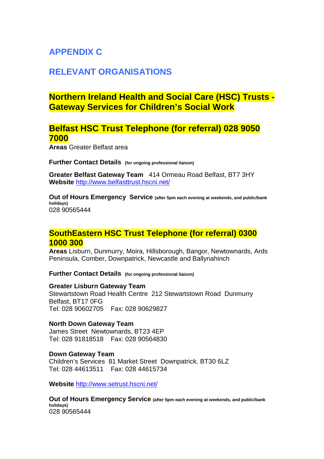# **APPENDIX C**

## **RELEVANT ORGANISATIONS**

## **Northern Ireland Health and Social Care (HSC) Trusts - Gateway Services for Children's Social Work**

## **Belfast HSC Trust Telephone (for referral) 028 9050 7000**

**Areas** Greater Belfast area

**Further Contact Details (for ongoing professional liaison)**

**Greater Belfast Gateway Team** 414 Ormeau Road Belfast, BT7 3HY **Website** <http://www.belfasttrust.hscni.net/>

**Out of Hours Emergency Service (after 5pm each evening at weekends, and public/bank holidays)** 028 90565444

## **SouthEastern HSC Trust Telephone (for referral) 0300 1000 300**

**Areas** Lisburn, Dunmurry, Moira, Hillsborough, Bangor, Newtownards, Ards Peninsula, Comber, Downpatrick, Newcastle and Ballynahinch

**Further Contact Details (for ongoing professional liaison)**

#### **Greater Lisburn Gateway Team**

Stewartstown Road Health Centre 212 Stewartstown Road Dunmurry Belfast, BT17 0FG Tel: 028 90602705 Fax: 028 90629827

#### **North Down Gateway Team**

James Street Newtownards, BT23 4EP Tel: 028 91818518 Fax: 028 90564830

#### **Down Gateway Team**

Children's Services 81 Market Street Downpatrick, BT30 6LZ Tel: 028 44613511 Fax: 028 44615734

**Website** <http://www.setrust.hscni.net/>

**Out of Hours Emergency Service (after 5pm each evening at weekends, and public/bank holidays)** 028 90565444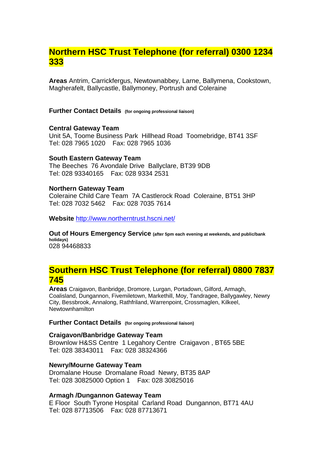## **Northern HSC Trust Telephone (for referral) 0300 1234 333**

**Areas** Antrim, Carrickfergus, Newtownabbey, Larne, Ballymena, Cookstown, Magherafelt, Ballycastle, Ballymoney, Portrush and Coleraine

**Further Contact Details (for ongoing professional liaison)**

#### **Central Gateway Team**

Unit 5A, Toome Business Park Hillhead Road Toomebridge, BT41 3SF Tel: 028 7965 1020 Fax: 028 7965 1036

#### **South Eastern Gateway Team**

The Beeches 76 Avondale Drive Ballyclare, BT39 9DB Tel: 028 93340165 Fax: 028 9334 2531

#### **Northern Gateway Team**

Coleraine Child Care Team 7A Castlerock Road Coleraine, BT51 3HP Tel: 028 7032 5462 Fax: 028 7035 7614

**Website** <http://www.northerntrust.hscni.net/>

**Out of Hours Emergency Service (after 5pm each evening at weekends, and public/bank holidays)** 028 94468833

## **Southern HSC Trust Telephone (for referral) 0800 7837 745**

**Areas** Craigavon, Banbridge, Dromore, Lurgan, Portadown, Gilford, Armagh, Coalisland, Dungannon, Fivemiletown, Markethill, Moy, Tandragee, Ballygawley, Newry City, Bessbrook, Annalong, Rathfriland, Warrenpoint, Crossmaglen, Kilkeel, Newtownhamilton

#### **Further Contact Details (for ongoing professional liaison)**

### **Craigavon/Banbridge Gateway Team**

Brownlow H&SS Centre 1 Legahory Centre Craigavon , BT65 5BE Tel: 028 38343011 Fax: 028 38324366

### **Newry/Mourne Gateway Team**

Dromalane House Dromalane Road Newry, BT35 8AP Tel: 028 30825000 Option 1 Fax: 028 30825016

#### **Armagh /Dungannon Gateway Team**

E Floor South Tyrone Hospital Carland Road Dungannon, BT71 4AU Tel: 028 87713506 Fax: 028 87713671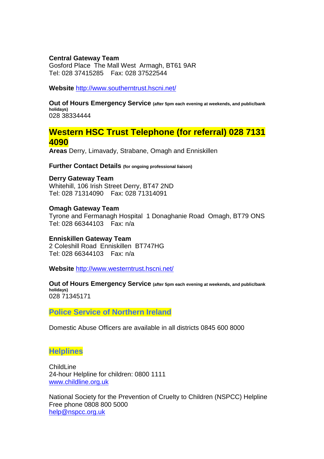#### **Central Gateway Team**

Gosford Place The Mall West Armagh, BT61 9AR Tel: 028 37415285 Fax: 028 37522544

**Website** <http://www.southerntrust.hscni.net/>

**Out of Hours Emergency Service (after 5pm each evening at weekends, and public/bank holidays)** 028 38334444

## **Western HSC Trust Telephone (for referral) 028 7131 4090**

**Areas** Derry, Limavady, Strabane, Omagh and Enniskillen

**Further Contact Details (for ongoing professional liaison)**

#### **Derry Gateway Team** Whitehill, 106 Irish Street Derry, BT47 2ND Tel: 028 71314090 Fax: 028 71314091

**Omagh Gateway Team** Tyrone and Fermanagh Hospital 1 Donaghanie Road Omagh, BT79 ONS Tel: 028 66344103 Fax: n/a

### **Enniskillen Gateway Team**

2 Coleshill Road Enniskillen BT747HG Tel: 028 66344103 Fax: n/a

**Website** <http://www.westerntrust.hscni.net/>

**Out of Hours Emergency Service (after 5pm each evening at weekends, and public/bank holidays)** 028 71345171

**Police Service of Northern Ireland**

Domestic Abuse Officers are available in all districts 0845 600 8000

### **Helplines**

**ChildLine** 24-hour Helpline for children: 0800 1111 [www.childline.org.uk](http://www.childline.org.uk/)

National Society for the Prevention of Cruelty to Children (NSPCC) Helpline Free phone 0808 800 5000 [help@nspcc.org.uk](mailto:help@nspcc.org.uk)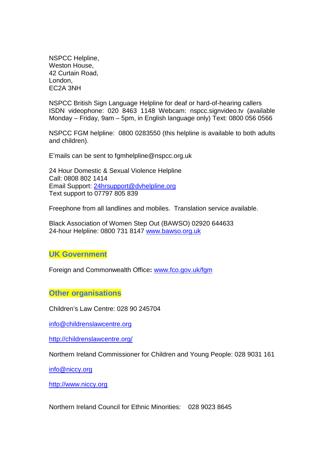NSPCC Helpline, Weston House, 42 Curtain Road, London, EC2A 3NH

NSPCC British Sign Language Helpline for deaf or hard-of-hearing callers ISDN videophone: 020 8463 1148 Webcam: nspcc.signvideo.tv (available Monday – Friday, 9am – 5pm, in English language only) Text: 0800 056 0566

NSPCC FGM helpline: 0800 0283550 (this helpline is available to both adults and children).

E'mails can be sent to fgmhelpline@nspcc.org.uk

24 Hour Domestic & Sexual Violence Helpline Call: 0808 802 1414 Email Support: [24hrsupport@dvhelpline.org](mailto:24hrsupport@dvhelpline.org) Text support to 07797 805 839

Freephone from all landlines and mobiles. Translation service available.

Black Association of Women Step Out (BAWSO) 02920 644633 24-hour Helpline: 0800 731 8147 [www.bawso.org.uk](http://www.bawso.org.uk/)

**UK Government**

Foreign and Commonwealth Office**:** [www.fco.gov.uk/fgm](http://www.fco.gov.uk/fgm)

**Other organisations**

Children's Law Centre: 028 90 245704

[info@childrenslawcentre.org](mailto:info@childrenslawcentre.org)

<http://childrenslawcentre.org/>

Northern Ireland Commissioner for Children and Young People: 028 9031 161

[info@niccy.org](mailto:info@niccy.org)

[http://www.niccy.org](http://www.niccy.org/)

Northern Ireland Council for Ethnic Minorities: 028 9023 8645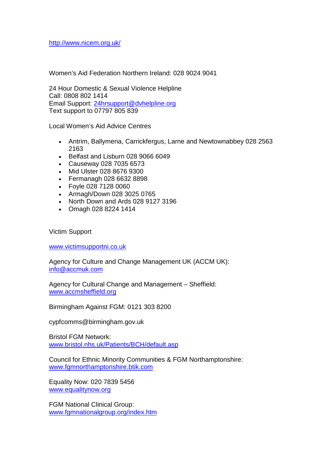<http://www.nicem.org.uk/>

Women's Aid Federation Northern Ireland: 028 9024 9041

24 Hour Domestic & Sexual Violence Helpline Call: 0808 802 1414 Email Support: [24hrsupport@dvhelpline.org](mailto:24hrsupport@dvhelpline.org) Text support to 07797 805 839

Local Women's Aid Advice Centres

- Antrim, Ballymena, Carrickfergus, Larne and Newtownabbey 028 2563 2163
- Belfast and Lisburn 028 9066 6049
- Causeway 028 7035 6573
- Mid Ulster 028 8676 9300
- Fermanagh 028 6632 8898
- Foyle 028 7128 0060
- Armagh/Down 028 3025 0765
- North Down and Ards 028 9127 3196
- Omagh 028 8224 1414

Victim Support

[www.victimsupportni.co.uk](http://www.victimsupportni.co.uk/)

Agency for Culture and Change Management UK (ACCM UK): [info@accmuk.com](mailto:info@accmuk.com)

Agency for Cultural Change and Management – Sheffield: [www.accmsheffield.org](http://www.accmsheffield.org/)

Birmingham Against FGM: 0121 303 8200

cypfcomms@birmingham.gov.uk

Bristol FGM Network: [www.bristol.nhs.uk/Patients/BCH/default.asp](http://www.bristol.nhs.uk/Patients/BCH/default.asp)

Council for Ethnic Minority Communities & FGM Northamptonshire: [www.fgmnorthamptonshire.btik.com](http://www.fgmnorthamptonshire.btik.com/)

Equality Now: 020 7839 5456 [www.equalitynow.org](http://www.equalitynow.org/)

FGM National Clinical Group: [www.fgmnationalgroup.org/index.htm](http://www.fgmnationalgroup.org/index.htm)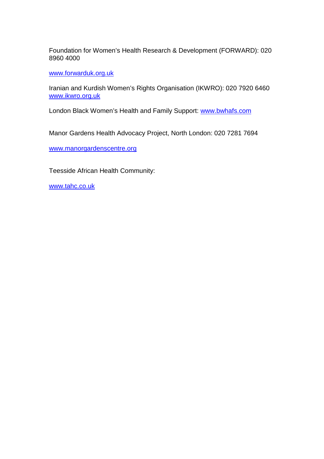Foundation for Women's Health Research & Development (FORWARD): 020 8960 4000

[www.forwarduk.org.uk](http://www.forwarduk.org.uk/)

Iranian and Kurdish Women's Rights Organisation (IKWRO): 020 7920 6460 [www.ikwro.org.uk](http://www.ikwro.org.uk/)

London Black Women's Health and Family Support: [www.bwhafs.com](http://www.bwhafs.com/)

Manor Gardens Health Advocacy Project, North London: 020 7281 7694

[www.manorgardenscentre.org](http://www.manorgardenscentre.org/)

Teesside African Health Community:

[www.tahc.co.uk](http://www.tahc.co.uk/)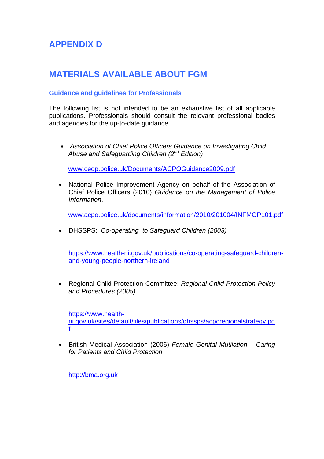# **APPENDIX D**

## **MATERIALS AVAILABLE ABOUT FGM**

### **Guidance and guidelines for Professionals**

The following list is not intended to be an exhaustive list of all applicable publications. Professionals should consult the relevant professional bodies and agencies for the up-to-date guidance.

 *Association of Chief Police Officers Guidance on Investigating Child Abuse and Safeguarding Children (2nd Edition)*

[www.ceop.police.uk/Documents/ACPOGuidance2009.pdf](http://www.ceop.police.uk/Documents/ACPOGuidance2009.pdf)

• National Police Improvement Agency on behalf of the Association of Chief Police Officers (2010) *Guidance on the Management of Police Information*.

[www.acpo.police.uk/documents/information/2010/201004/INFMOP101.pdf](http://www.acpo.police.uk/documents/?information/2010/201004/INFMOP101.pdf)

DHSSPS: *Co-operating to Safeguard Children (2003)*

[https://www.health-ni.gov.uk/publications/co-operating-safeguard-children](https://www.health-ni.gov.uk/publications/co-operating-safeguard-children-and-young-people-northern-ireland)[and-young-people-northern-ireland](https://www.health-ni.gov.uk/publications/co-operating-safeguard-children-and-young-people-northern-ireland)

 Regional Child Protection Committee: *Regional Child Protection Policy and Procedures (2005)*

[https://www.health](https://www.health-ni.gov.uk/sites/default/files/publications/dhssps/acpcregionalstrategy.pdf)[n](https://www.health-ni.gov.uk/sites/default/files/publications/dhssps/acpcregionalstrategy.pdf)i.gov.uk/sites/default/files/publications/dhssps/acpcregionalstrategy.pd f

 British Medical Association (2006) *Female Genital Mutilation – Caring for Patients and Child Protection*

[http://bma.org.uk](http://bma.org.uk/)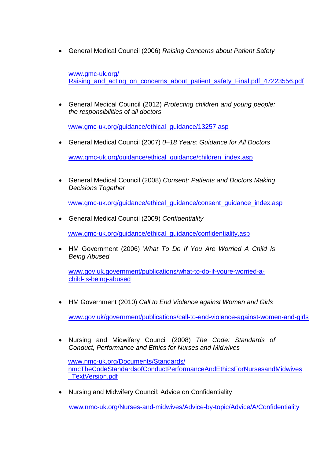General Medical Council (2006) *Raising Concerns about Patient Safety*

[www.gmc-uk.org/](http://www.gmc-uk.org/ Raising_and_acting_on_concerns_about_patient_safety_Final.pdf_47223556.pdf) Raising and acting on concerns about patient safety Final.pdf 47223556.pdf

 General Medical Council (2012) *Protecting children and young people: the responsibilities of all doctors*

[www.gmc-uk.org/guidance/ethical\\_guidance/13257.asp](http://www.gmc-uk.org/guidance/ethical_?guidance/13257.asp)

General Medical Council (2007) *0–18 Years: Guidance for All Doctors*

[www.gmc-uk.org/guidance/ethical\\_guidance/children\\_index.asp](http://www.gmc-uk.org/guidance/ethical_?guidance/children_index.asp)

 General Medical Council (2008) *Consent: Patients and Doctors Making Decisions Together*

[www.gmc-uk.org/guidance/ethical\\_guidance/consent\\_guidance\\_index.asp](http://www.gmc-uk.org/guidance/ethical_?guidance/consent_guidance_index.asp)

General Medical Council (2009) *Confidentiality*

[www.gmc-uk.org/guidance/ethical\\_guidance/confidentiality.asp](http://www.gmc-uk.org/guidance/ethical_?guidance/confidentiality.asp)

 HM Government (2006) *What To Do If You Are Worried A Child Is Being Abused*

[www.gov.uk.government/publications/what-to-do-if-youre-worried-a](http://www.gov.uk.government/publications/what-to-do-if-youre-worried-a-child-is-being-abused)[child-is-being-abused](http://www.gov.uk.government/publications/what-to-do-if-youre-worried-a-child-is-being-abused)

HM Government (2010) *Call to End Violence against Women and Girls*

[www.gov.uk/government/publications/call-to-end-violence-against-women-and-girls](http://www.gov.uk/government/publications/call-?to-end-violence-against-women-and-girls)

 Nursing and Midwifery Council (2008) *The Code: Standards of Conduct, Performance and Ethics for Nurses and Midwives*

[www.nmc-uk.org/Documents/Standards/](http://www.nmc-uk.org/Documents/Standards/?nmcTheCodeStandardsofConductPerformanceAndEthicsForNursesandMidwives _TextVersion.pdf) [nmcTheCodeStandardsofConductPerformanceAndEthicsForNursesandMidwives](http://www.nmc-uk.org/Documents/Standards/?nmcTheCodeStandardsofConductPerformanceAndEthicsForNursesandMidwives _TextVersion.pdf) [\\_TextVersion.pdf](http://www.nmc-uk.org/Documents/Standards/?nmcTheCodeStandardsofConductPerformanceAndEthicsForNursesandMidwives _TextVersion.pdf)

Nursing and Midwifery Council: Advice on Confidentiality

[www.nmc-uk.org/Nurses-and-midwives/Advice-by-topic/Advice/A/Confidentiality](http://www.nmc-uk.org/Nurses-and-midwives/Advice-by-topic/?Advice/A/Confidentiality)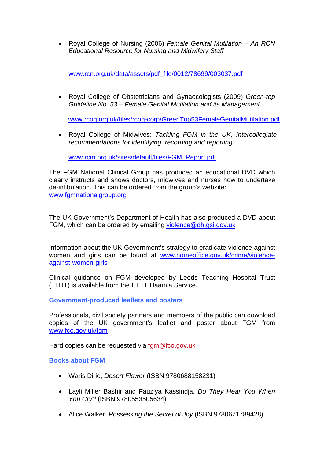Royal College of Nursing (2006) *Female Genital Mutilation – An RCN Educational Resource for Nursing and Midwifery Staff*

[www.rcn.org.uk/data/assets/pdf\\_file/0012/78699/003037.pdf](http://www.rcn.org.uk/data/assets/pdf_file/?0012/78699/003037.pdf)

 Royal College of Obstetricians and Gynaecologists (2009) *Green-top Guideline No. 53 – Female Genital Mutilation and its Management*

[www.rcog.org.uk/files/rcog-corp/GreenTop53FemaleGenitalMutilation.pdf](http://www.rcog.org.uk/files/rcog-corp/GreenTop53FemaleGenitalMutilation.pdf)

 Royal College of Midwives: *Tackling FGM in the UK, Intercollegiate recommendations for identifying, recording and reporting*

[www.rcm.org.uk/sites/default/files/FGM\\_Report.pdf](http://www.rcm.org.uk/sites/default/files/FGM_Report.pdf)

The FGM National Clinical Group has produced an educational DVD which clearly instructs and shows doctors, midwives and nurses how to undertake de-infibulation. This can be ordered from the group's website: www.famnationalgroup.org

The UK Government's Department of Health has also produced a DVD about FGM, which can be ordered by emailing [violence@dh.gsi.gov.uk](mailto:violence@dh.gsi.gov.uk)

Information about the UK Government's strategy to eradicate violence against women and girls can be found at [www.homeoffice.gov.uk/crime/violence](http://www.homeoffice.gov.uk/crime/violence-against-women-girls)[against-women-girls](http://www.homeoffice.gov.uk/crime/violence-against-women-girls)

Clinical guidance on FGM developed by Leeds Teaching Hospital Trust (LTHT) is available from the LTHT Haamla Service.

**Government-produced leaflets and posters**

Professionals, civil society partners and members of the public can download copies of the UK government's leaflet and poster about FGM from [www.fco.gov.uk/fgm](http://www.fco.gov.uk/fgm)

Hard copies can be requested via fgm@fco.gov.uk

### **Books about FGM**

- Waris Dirie, *Desert Flower* (ISBN 9780688158231)
- Layli Miller Bashir and Fauziya Kassindja, *Do They Hear You When You Cry?* (ISBN 9780553505634)
- Alice Walker, *Possessing the Secret of Joy* (ISBN 9780671789428)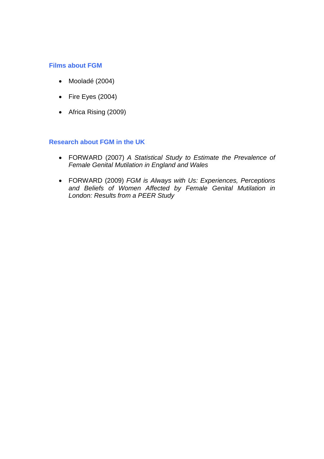### **Films about FGM**

- Mooladé (2004)
- $\bullet$  Fire Eyes (2004)
- Africa Rising (2009)

### **Research about FGM in the UK**

- FORWARD (2007) *A Statistical Study to Estimate the Prevalence of Female Genital Mutilation in England and Wales*
- FORWARD (2009) *FGM is Always with Us: Experiences, Perceptions and Beliefs of Women Affected by Female Genital Mutilation in London: Results from a PEER Study*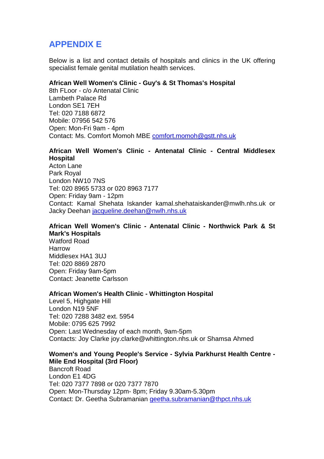## **APPENDIX E**

Below is a list and contact details of hospitals and clinics in the UK offering specialist female genital mutilation health services.

### **African Well Women's Clinic - Guy's & St Thomas's Hospital**

8th FLoor - c/o Antenatal Clinic Lambeth Palace Rd London SE1 7EH Tel: 020 7188 6872 Mobile: 07956 542 576 Open: Mon-Fri 9am - 4pm Contact: Ms. Comfort Momoh MBE [comfort.momoh@gstt.nhs.uk](mailto:comfort.momoh@gstt.nhs.uk)

### **African Well Women's Clinic - Antenatal Clinic - Central Middlesex Hospital**

Acton Lane Park Royal London NW10 7NS Tel: 020 8965 5733 or 020 8963 7177 Open: Friday 9am - 12pm Contact: Kamal Shehata Iskander kamal.shehataiskander@mwlh.nhs.uk or Jacky Deehan [jacqueline.deehan@nwlh.nhs.uk](mailto:jacqueline.deehan@nwlh.nhs.uk)

### **African Well Women's Clinic - Antenatal Clinic - Northwick Park & St Mark's Hospitals**

Watford Road Harrow Middlesex HA1 3UJ Tel: 020 8869 2870 Open: Friday 9am-5pm Contact: Jeanette Carlsson

#### **African Women's Health Clinic - Whittington Hospital**

Level 5, Highgate Hill London N19 5NF Tel: 020 7288 3482 ext. 5954 Mobile: 0795 625 7992 Open: Last Wednesday of each month, 9am-5pm Contacts: Joy Clarke joy.clarke@whittington.nhs.uk or Shamsa Ahmed

#### **Women's and Young People's Service - Sylvia Parkhurst Health Centre - Mile End Hospital (3rd Floor)**

Bancroft Road London E1 4DG Tel: 020 7377 7898 or 020 7377 7870 Open: Mon-Thursday 12pm- 8pm; Friday 9.30am-5.30pm Contact: Dr. Geetha Subramanian [geetha.subramanian@thpct.nhs.uk](mailto:geetha.subramanian@thpct.nhs.uk)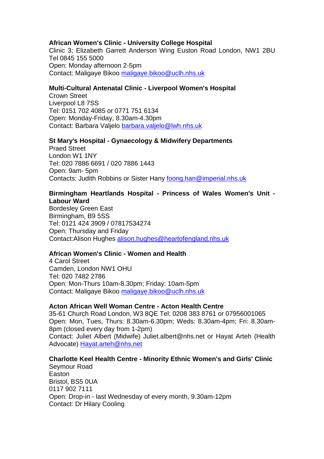### **African Women's Clinic - University College Hospital**

Clinic 3; Elizabeth Garrett Anderson Wing Euston Road London, NW1 2BU Tel 0845 155 5000 Open: Monday afternoon 2-5pm Contact: Maligaye Bikoo [maligaye.bikoo@uclh.nhs.uk](mailto:maligaye.bikoo@uclh.nhs.uk)

### **Multi-Cultural Antenatal Clinic - Liverpool Women's Hospital**

Crown Street Liverpool L8 7SS Tel: 0151 702 4085 or 0771 751 6134 Open: Monday-Friday, 8.30am-4.30pm Contact: Barbara Valjelo [barbara.valjelo@lwh.nhs.uk](mailto:barbara.valjelo@lwh.nhs.uk)

### **St Mary's Hospital - Gynaecology & Midwifery Departments**

Praed Street London W1 1NY Tel: 020 7886 6691 / 020 7886 1443 Open: 9am- 5pm Contacts: Judith Robbins or Sister Hany [foong.han@imperial.nhs.uk](mailto:foong.han@imperial.nhs.uk)

### **Birmingham Heartlands Hospital - Princess of Wales Women's Unit - Labour Ward**

Bordesley Green East Birmingham, B9 5SS Tel: 0121 424 3909 / 07817534274 Open: Thursday and Friday Contact:Alison Hughes [alison.hughes@heartofengland.nhs.uk](mailto:alison.hughes@heartofengland.nhs.uk)

#### **African Women's Clinic - Women and Health**

4 Carol Street Camden, London NW1 OHU Tel: 020 7482 2786 Open: Mon-Thurs 10am-8.30pm; Friday: 10am-5pm Contact: Maligaye Bikoo [maligaye.bikoo@uclh.nhs.uk](mailto:maligaye.bikoo@uclh.nhs.uk)

#### **Acton African Well Woman Centre - Acton Health Centre**

35-61 Church Road London, W3 8QE Tel: 0208 383 8761 or 07956001065 Open: Mon, Tues, Thurs: 8.30am-6.30pm; Weds: 8.30am-4pm; Fri: 8.30am-8pm (closed every day from 1-2pm) Contact: Juliet Albert (Midwife) Juliet.albert@nhs.net or Hayat Arteh (Health Advocate) [Hayat.arteh@nhs.net](mailto:Hayat.arteh@nhs.net)

### **Charlotte Keel Health Centre - Minority Ethnic Women's and Girls' Clinic**

Seymour Road Easton Bristol, BS5 0UA 0117 902 7111 Open: Drop-in - last Wednesday of every month, 9.30am-12pm Contact: Dr Hilary Cooling